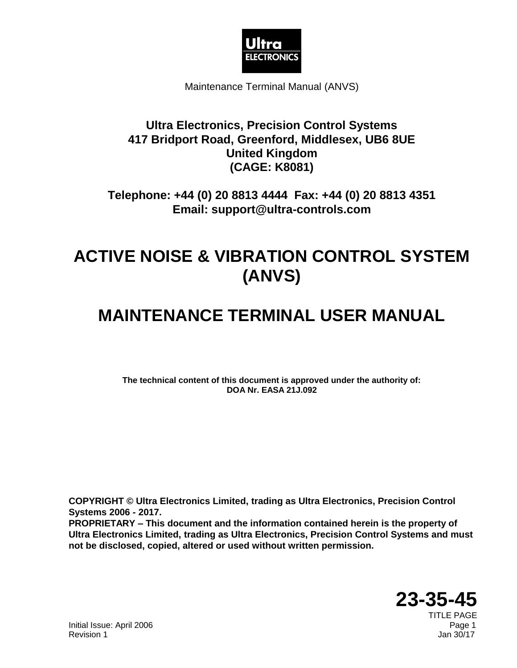

# **Ultra Electronics, Precision Control Systems 417 Bridport Road, Greenford, Middlesex, UB6 8UE United Kingdom (CAGE: K8081)**

**Telephone: +44 (0) 20 8813 4444 Fax: +44 (0) 20 8813 4351 Email: support@ultra-controls.com**

# **ACTIVE NOISE & VIBRATION CONTROL SYSTEM (ANVS)**

# **MAINTENANCE TERMINAL USER MANUAL**

**The technical content of this document is approved under the authority of: DOA Nr. EASA 21J.092**

**COPYRIGHT © Ultra Electronics Limited, trading as Ultra Electronics, Precision Control Systems 2006 - 2017. PROPRIETARY – This document and the information contained herein is the property of Ultra Electronics Limited, trading as Ultra Electronics, Precision Control Systems and must not be disclosed, copied, altered or used without written permission.**

> **23-35-45** TITLE PAGE

Initial Issue: April 2006 Page 1 Revision 1 Jan 30/17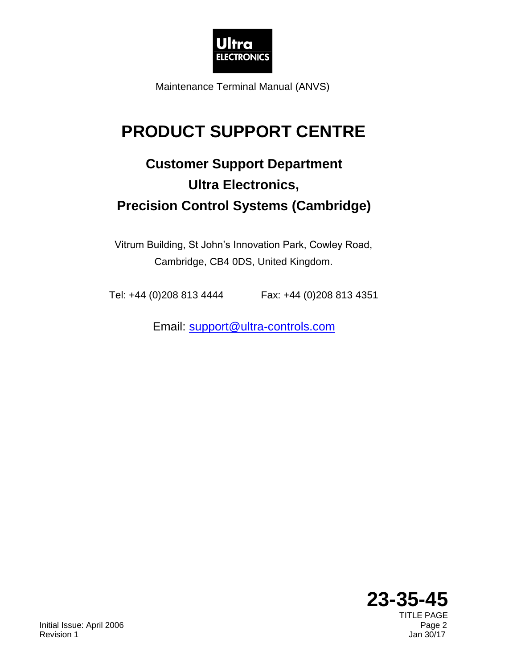

# **PRODUCT SUPPORT CENTRE**

# **Customer Support Department Ultra Electronics, Precision Control Systems (Cambridge)**

Vitrum Building, St John's Innovation Park, Cowley Road, Cambridge, CB4 0DS, United Kingdom.

Tel: +44 (0)208 813 4444 Fax: +44 (0)208 813 4351

Email: [support@ultra-controls.com](mailto:support@ultra-controls.com)



TITLE PAGE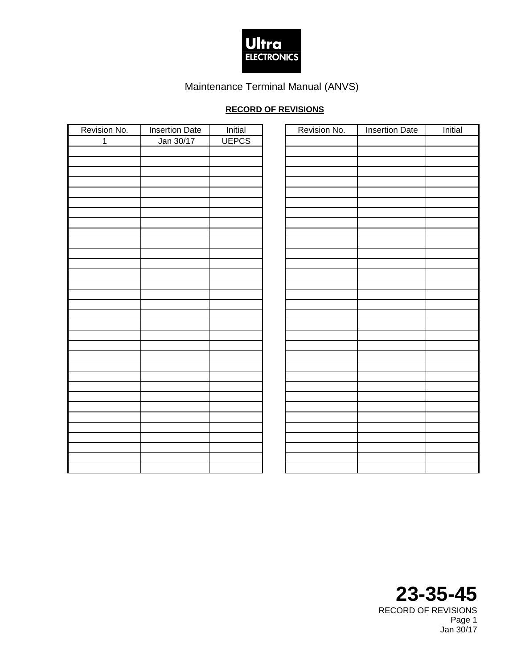

## **RECORD OF REVISIONS**

<span id="page-2-0"></span>

| Jan 30/17<br><b>UEPCS</b><br>1 | Revision No. | <b>Insertion Date</b> | Initial | Revision No. | <b>Insertion Date</b> | Initial |
|--------------------------------|--------------|-----------------------|---------|--------------|-----------------------|---------|
|                                |              |                       |         |              |                       |         |
|                                |              |                       |         |              |                       |         |
|                                |              |                       |         |              |                       |         |
|                                |              |                       |         |              |                       |         |
|                                |              |                       |         |              |                       |         |
|                                |              |                       |         |              |                       |         |
|                                |              |                       |         |              |                       |         |
|                                |              |                       |         |              |                       |         |
|                                |              |                       |         |              |                       |         |
|                                |              |                       |         |              |                       |         |
|                                |              |                       |         |              |                       |         |
|                                |              |                       |         |              |                       |         |
|                                |              |                       |         |              |                       |         |
|                                |              |                       |         |              |                       |         |
|                                |              |                       |         |              |                       |         |
|                                |              |                       |         |              |                       |         |
|                                |              |                       |         |              |                       |         |
|                                |              |                       |         |              |                       |         |
|                                |              |                       |         |              |                       |         |
|                                |              |                       |         |              |                       |         |
|                                |              |                       |         |              |                       |         |
|                                |              |                       |         |              |                       |         |
|                                |              |                       |         |              |                       |         |
|                                |              |                       |         |              |                       |         |
|                                |              |                       |         |              |                       |         |
|                                |              |                       |         |              |                       |         |
|                                |              |                       |         |              |                       |         |
|                                |              |                       |         |              |                       |         |
|                                |              |                       |         |              |                       |         |
|                                |              |                       |         |              |                       |         |
|                                |              |                       |         |              |                       |         |
|                                |              |                       |         |              |                       |         |
|                                |              |                       |         |              |                       |         |

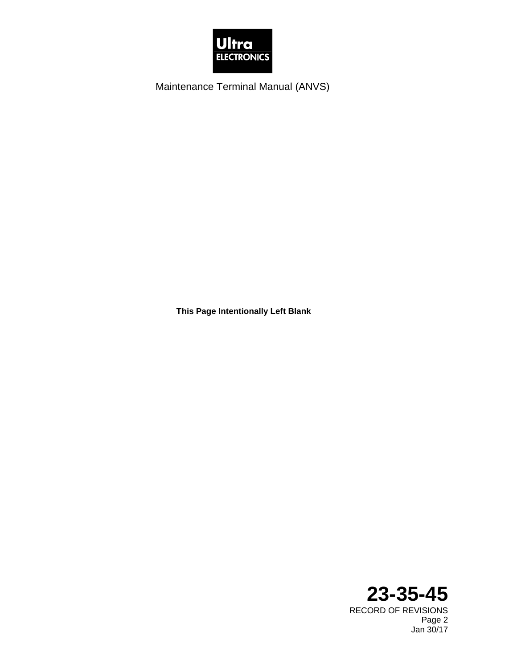

**This Page Intentionally Left Blank**



RECORD OF REVISIONS Page 2 Jan 30/17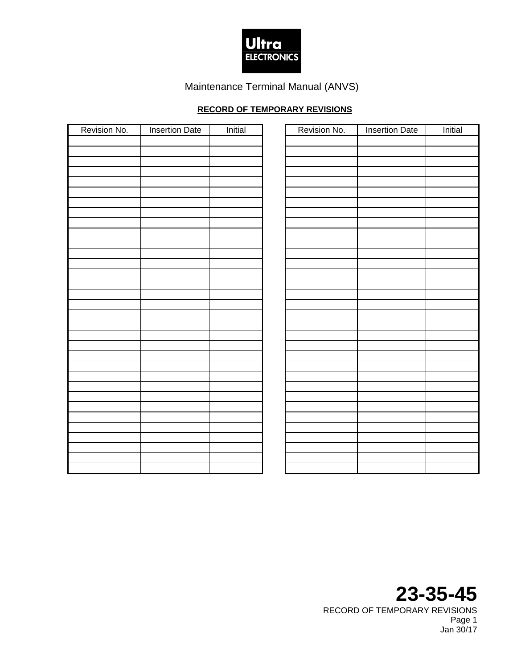

## **RECORD OF TEMPORARY REVISIONS**

<span id="page-4-0"></span>

| Revision No. | <b>Insertion Date</b> | Initial | Revision No. | <b>Insertion Date</b> | Initial |
|--------------|-----------------------|---------|--------------|-----------------------|---------|
|              |                       |         |              |                       |         |
|              |                       |         |              |                       |         |
|              |                       |         |              |                       |         |
|              |                       |         |              |                       |         |
|              |                       |         |              |                       |         |
|              |                       |         |              |                       |         |
|              |                       |         |              |                       |         |
|              |                       |         |              |                       |         |
|              |                       |         |              |                       |         |
|              |                       |         |              |                       |         |
|              |                       |         |              |                       |         |
|              |                       |         |              |                       |         |
|              |                       |         |              |                       |         |
|              |                       |         |              |                       |         |
|              |                       |         |              |                       |         |
|              |                       |         |              |                       |         |
|              |                       |         |              |                       |         |
|              |                       |         |              |                       |         |
|              |                       |         |              |                       |         |
|              |                       |         |              |                       |         |
|              |                       |         |              |                       |         |
|              |                       |         |              |                       |         |
|              |                       |         |              |                       |         |
|              |                       |         |              |                       |         |
|              |                       |         |              |                       |         |
|              |                       |         |              |                       |         |
|              |                       |         |              |                       |         |
|              |                       |         |              |                       |         |
|              |                       |         |              |                       |         |
|              |                       |         |              |                       |         |
|              |                       |         |              |                       |         |
|              |                       |         |              |                       |         |

**23-35-45** RECORD OF TEMPORARY REVISIONS Page 1 Jan 30/17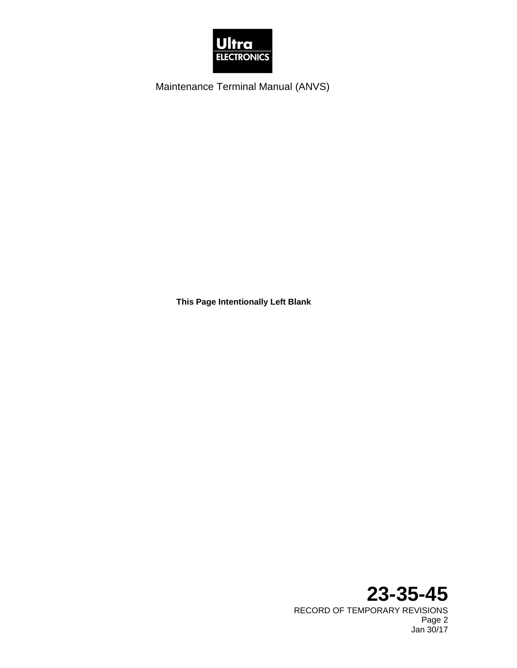

**This Page Intentionally Left Blank**

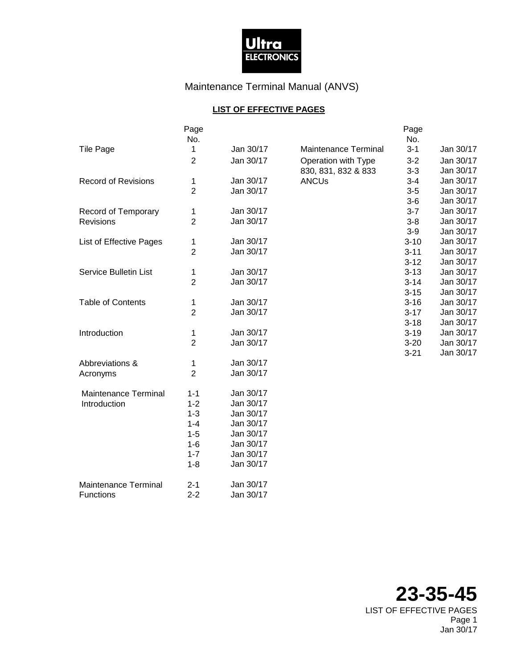

## **LIST OF EFFECTIVE PAGES**

<span id="page-6-0"></span>

|                              | Page           |           |                      | Page     |           |
|------------------------------|----------------|-----------|----------------------|----------|-----------|
|                              | No.            |           |                      | No.      |           |
| <b>Tile Page</b>             | 1              | Jan 30/17 | Maintenance Terminal | $3 - 1$  | Jan 30/17 |
|                              | $\overline{2}$ | Jan 30/17 | Operation with Type  | $3 - 2$  | Jan 30/17 |
|                              |                |           | 830, 831, 832 & 833  | $3 - 3$  | Jan 30/17 |
| <b>Record of Revisions</b>   | 1              | Jan 30/17 | <b>ANCUs</b>         | $3 - 4$  | Jan 30/17 |
|                              | $\overline{2}$ | Jan 30/17 |                      | $3-5$    | Jan 30/17 |
|                              |                |           |                      | $3-6$    | Jan 30/17 |
| Record of Temporary          | 1              | Jan 30/17 |                      | $3 - 7$  | Jan 30/17 |
| <b>Revisions</b>             | $\overline{2}$ | Jan 30/17 |                      | $3 - 8$  | Jan 30/17 |
|                              |                |           |                      | $3-9$    | Jan 30/17 |
| List of Effective Pages      | 1              | Jan 30/17 |                      | $3 - 10$ | Jan 30/17 |
|                              | $\overline{2}$ | Jan 30/17 |                      | $3 - 11$ | Jan 30/17 |
|                              |                |           |                      | $3 - 12$ | Jan 30/17 |
| <b>Service Bulletin List</b> | 1              | Jan 30/17 |                      | $3 - 13$ | Jan 30/17 |
|                              | $\overline{2}$ | Jan 30/17 |                      | $3 - 14$ | Jan 30/17 |
|                              |                |           |                      | $3 - 15$ | Jan 30/17 |
| <b>Table of Contents</b>     | 1              | Jan 30/17 |                      | $3 - 16$ | Jan 30/17 |
|                              | $\overline{2}$ | Jan 30/17 |                      | $3 - 17$ | Jan 30/17 |
|                              |                |           |                      | $3 - 18$ | Jan 30/17 |
| Introduction                 | 1              | Jan 30/17 |                      | $3 - 19$ | Jan 30/17 |
|                              | $\overline{2}$ | Jan 30/17 |                      | $3 - 20$ | Jan 30/17 |
|                              |                |           |                      | $3 - 21$ | Jan 30/17 |
| Abbreviations &              | 1              | Jan 30/17 |                      |          |           |
| Acronyms                     | $\overline{2}$ | Jan 30/17 |                      |          |           |
| <b>Maintenance Terminal</b>  | $1 - 1$        | Jan 30/17 |                      |          |           |
| Introduction                 | $1 - 2$        | Jan 30/17 |                      |          |           |
|                              | $1 - 3$        | Jan 30/17 |                      |          |           |
|                              | $1 - 4$        | Jan 30/17 |                      |          |           |
|                              | $1 - 5$        | Jan 30/17 |                      |          |           |
|                              | $1 - 6$        | Jan 30/17 |                      |          |           |
|                              | $1 - 7$        | Jan 30/17 |                      |          |           |
|                              | $1 - 8$        | Jan 30/17 |                      |          |           |
| <b>Maintenance Terminal</b>  | $2 - 1$        | Jan 30/17 |                      |          |           |
| <b>Functions</b>             | $2 - 2$        | Jan 30/17 |                      |          |           |

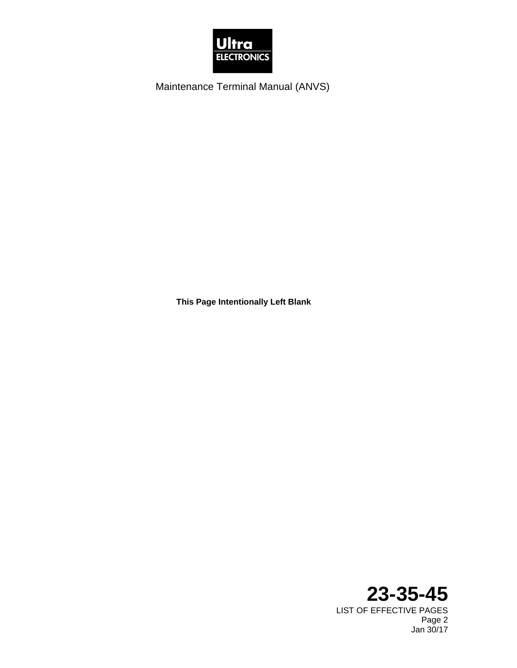

**This Page Intentionally Left Blank**



LIST OF EFFECTIVE PAGES Page 2 Jan 30/17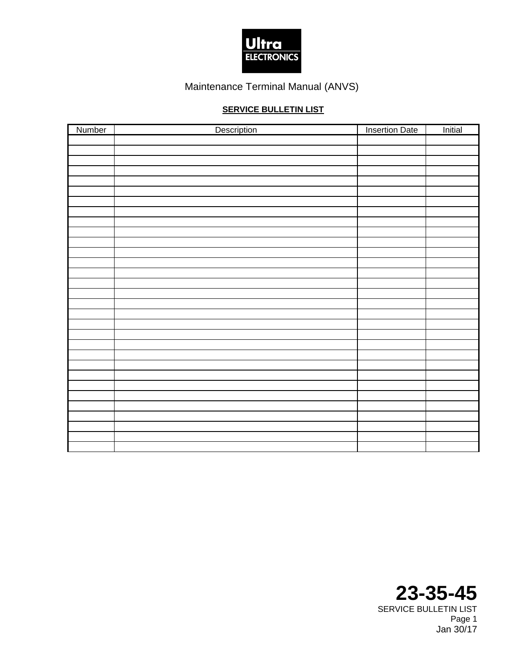

## **SERVICE BULLETIN LIST**

<span id="page-8-0"></span>

| Number | Description | <b>Insertion Date</b> | Initial |
|--------|-------------|-----------------------|---------|
|        |             |                       |         |
|        |             |                       |         |
|        |             |                       |         |
|        |             |                       |         |
|        |             |                       |         |
|        |             |                       |         |
|        |             |                       |         |
|        |             |                       |         |
|        |             |                       |         |
|        |             |                       |         |
|        |             |                       |         |
|        |             |                       |         |
|        |             |                       |         |
|        |             |                       |         |
|        |             |                       |         |
|        |             |                       |         |
|        |             |                       |         |
|        |             |                       |         |
|        |             |                       |         |
|        |             |                       |         |
|        |             |                       |         |
|        |             |                       |         |
|        |             |                       |         |
|        |             |                       |         |
|        |             |                       |         |
|        |             |                       |         |
|        |             |                       |         |
|        |             |                       |         |
|        |             |                       |         |
|        |             |                       |         |
|        |             |                       |         |



SERVICE BULLETIN LIST Page 1 Jan 30/17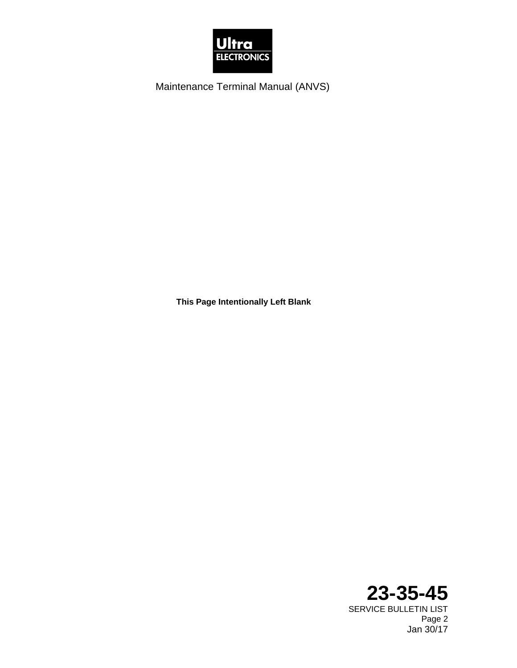

**This Page Intentionally Left Blank**



SERVICE BULLETIN LIST Page 2 Jan 30/17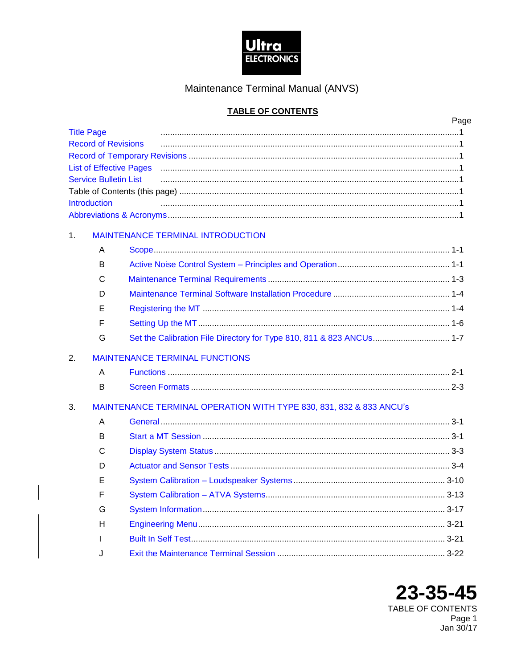

## **TABLE OF CONTENTS**

#### Page

| <b>Title Page</b> |                                |                                                                      |
|-------------------|--------------------------------|----------------------------------------------------------------------|
|                   | <b>Record of Revisions</b>     |                                                                      |
|                   |                                |                                                                      |
|                   | <b>List of Effective Pages</b> |                                                                      |
|                   | <b>Service Bulletin List</b>   |                                                                      |
|                   | Introduction                   |                                                                      |
|                   |                                |                                                                      |
| 1.                |                                | MAINTENANCE TERMINAL INTRODUCTION                                    |
|                   | A                              |                                                                      |
|                   | B                              |                                                                      |
|                   | С                              |                                                                      |
|                   | D                              |                                                                      |
|                   | Е                              |                                                                      |
|                   | F                              |                                                                      |
|                   | G                              | Set the Calibration File Directory for Type 810, 811 & 823 ANCUs 1-7 |
| 2.                |                                | <b>MAINTENANCE TERMINAL FUNCTIONS</b>                                |
|                   | $\overline{A}$                 |                                                                      |
|                   | B                              |                                                                      |
| 3.                |                                | MAINTENANCE TERMINAL OPERATION WITH TYPE 830, 831, 832 & 833 ANCU's  |
|                   | A                              |                                                                      |
|                   | B                              |                                                                      |
|                   | С                              |                                                                      |
|                   | D                              |                                                                      |
|                   | Е                              |                                                                      |
|                   | F                              |                                                                      |
|                   | G                              |                                                                      |
|                   | н                              |                                                                      |
|                   | L                              |                                                                      |
|                   | J                              |                                                                      |

 $\overline{\phantom{a}}$ 



TABLE OF CONTENTS Page 1<br>Page 1<br>Jan 30/17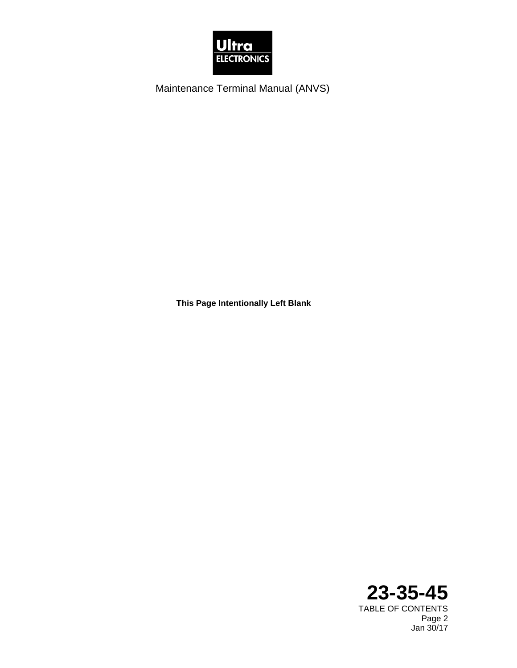

**This Page Intentionally Left Blank**



TABLE OF CONTENTS Page 2 Jan 30/17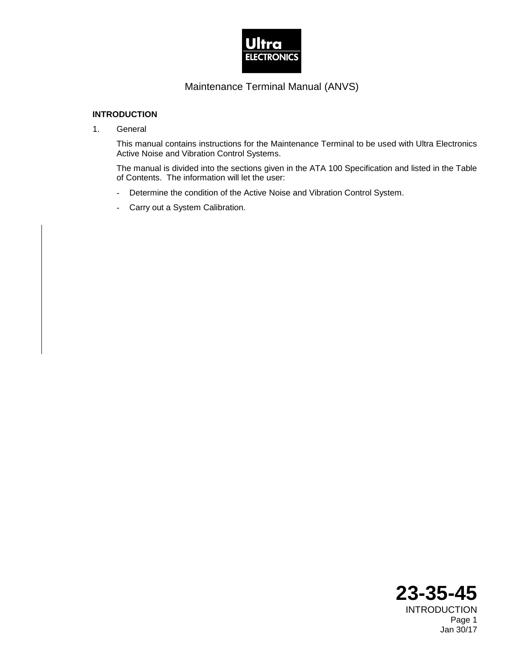

#### <span id="page-12-0"></span>**INTRODUCTION**

1. General

This manual contains instructions for the Maintenance Terminal to be used with Ultra Electronics Active Noise and Vibration Control Systems.

The manual is divided into the sections given in the ATA 100 Specification and listed in the Table of Contents. The information will let the user:

- Determine the condition of the Active Noise and Vibration Control System.
- Carry out a System Calibration.

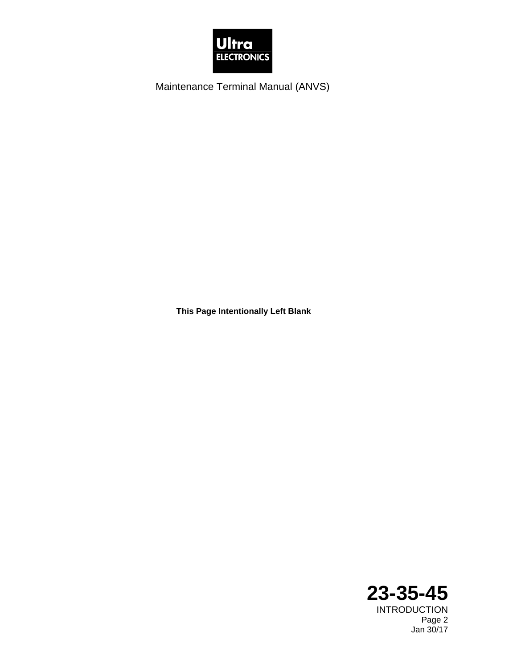

**This Page Intentionally Left Blank**



Page 2 Jan 30/17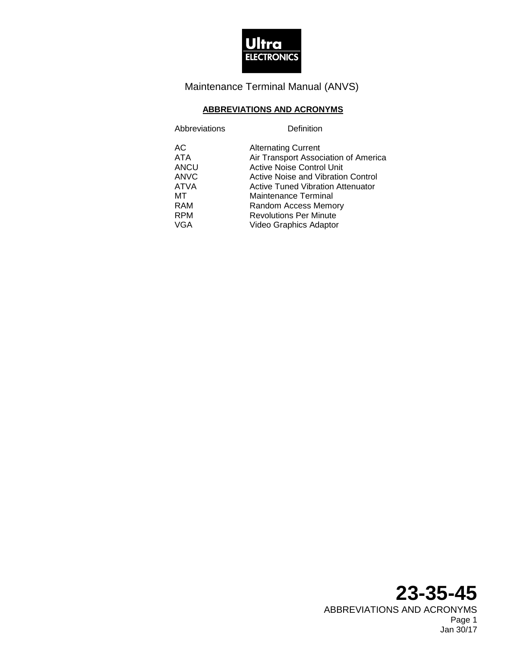

#### **ABBREVIATIONS AND ACRONYMS**

<span id="page-14-0"></span>

| Abbreviations                                                               | Definition                                                                                                                                                                                                                                                                                          |
|-----------------------------------------------------------------------------|-----------------------------------------------------------------------------------------------------------------------------------------------------------------------------------------------------------------------------------------------------------------------------------------------------|
| AC.<br>ATA<br>ANCU<br><b>ANVC</b><br>ATVA<br>мт<br>RAM<br><b>RPM</b><br>VGA | <b>Alternating Current</b><br>Air Transport Association of America<br><b>Active Noise Control Unit</b><br>Active Noise and Vibration Control<br>Active Tuned Vibration Attenuator<br><b>Maintenance Terminal</b><br>Random Access Memory<br><b>Revolutions Per Minute</b><br>Video Graphics Adaptor |
|                                                                             |                                                                                                                                                                                                                                                                                                     |

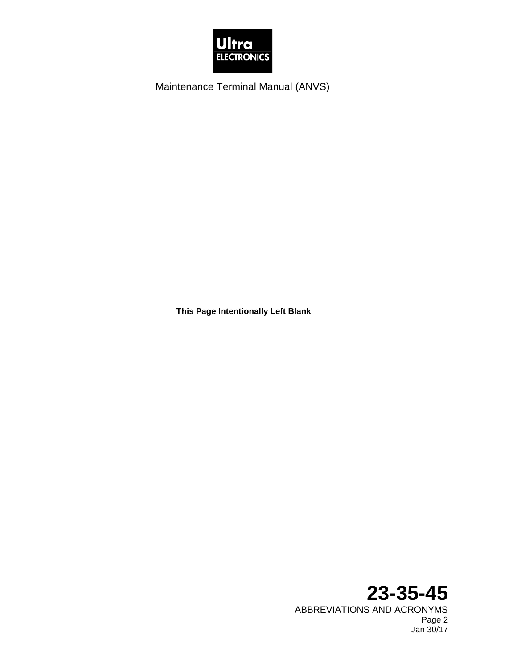

**This Page Intentionally Left Blank**



ABBREVIATIONS AND ACRONYMS Page 2 Jan 30/17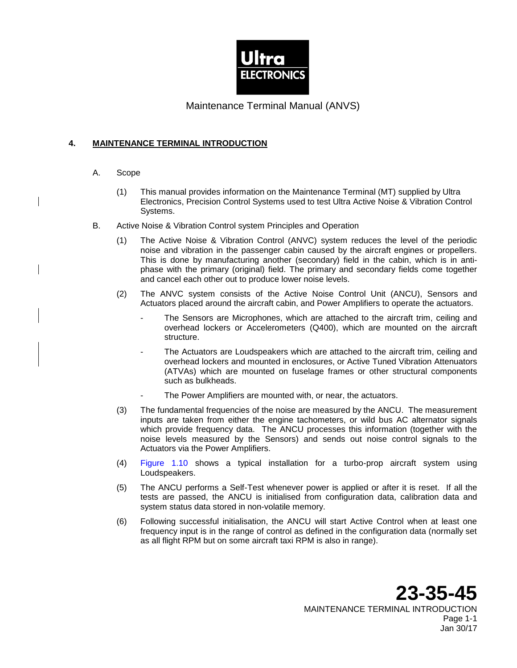

#### <span id="page-16-1"></span><span id="page-16-0"></span>**4. MAINTENANCE TERMINAL INTRODUCTION**

#### A. Scope

- (1) This manual provides information on the Maintenance Terminal (MT) supplied by Ultra Electronics, Precision Control Systems used to test Ultra Active Noise & Vibration Control Systems.
- <span id="page-16-2"></span>B. Active Noise & Vibration Control system Principles and Operation
	- (1) The Active Noise & Vibration Control (ANVC) system reduces the level of the periodic noise and vibration in the passenger cabin caused by the aircraft engines or propellers. This is done by manufacturing another (secondary) field in the cabin, which is in antiphase with the primary (original) field. The primary and secondary fields come together and cancel each other out to produce lower noise levels.
	- (2) The ANVC system consists of the Active Noise Control Unit (ANCU), Sensors and Actuators placed around the aircraft cabin, and Power Amplifiers to operate the actuators.
		- The Sensors are Microphones, which are attached to the aircraft trim, ceiling and overhead lockers or Accelerometers (Q400), which are mounted on the aircraft structure.
		- The Actuators are Loudspeakers which are attached to the aircraft trim, ceiling and overhead lockers and mounted in enclosures, or Active Tuned Vibration Attenuators (ATVAs) which are mounted on fuselage frames or other structural components such as bulkheads.
		- The Power Amplifiers are mounted with, or near, the actuators.
	- (3) The fundamental frequencies of the noise are measured by the ANCU. The measurement inputs are taken from either the engine tachometers, or wild bus AC alternator signals which provide frequency data. The ANCU processes this information (together with the noise levels measured by the Sensors) and sends out noise control signals to the Actuators via the Power Amplifiers.
	- (4) [Figure 1.10](#page-17-0) shows a typical installation for a turbo-prop aircraft system using Loudspeakers.
	- (5) The ANCU performs a Self-Test whenever power is applied or after it is reset. If all the tests are passed, the ANCU is initialised from configuration data, calibration data and system status data stored in non-volatile memory.
	- (6) Following successful initialisation, the ANCU will start Active Control when at least one frequency input is in the range of control as defined in the configuration data (normally set as all flight RPM but on some aircraft taxi RPM is also in range).

**23-35-45** MAINTENANCE TERMINAL INTRODUCTION Page 1-1 Jan 30/17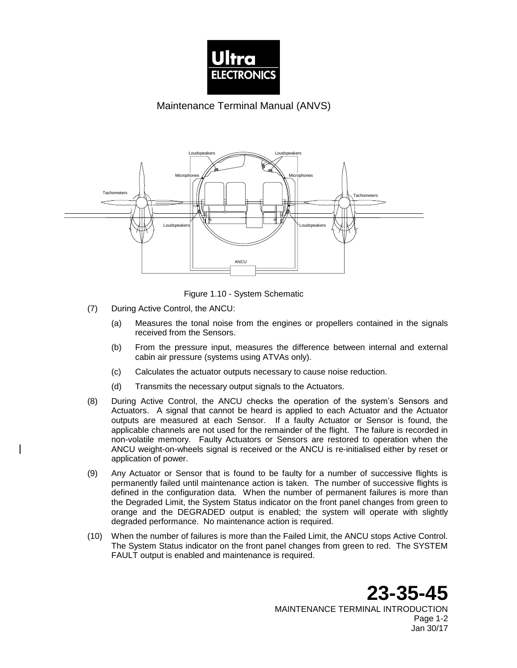



Figure 1.10 - System Schematic

- <span id="page-17-0"></span>(7) During Active Control, the ANCU:
	- (a) Measures the tonal noise from the engines or propellers contained in the signals received from the Sensors.
	- (b) From the pressure input, measures the difference between internal and external cabin air pressure (systems using ATVAs only).
	- (c) Calculates the actuator outputs necessary to cause noise reduction.
	- (d) Transmits the necessary output signals to the Actuators.
- (8) During Active Control, the ANCU checks the operation of the system's Sensors and Actuators. A signal that cannot be heard is applied to each Actuator and the Actuator outputs are measured at each Sensor. If a faulty Actuator or Sensor is found, the applicable channels are not used for the remainder of the flight. The failure is recorded in non-volatile memory. Faulty Actuators or Sensors are restored to operation when the ANCU weight-on-wheels signal is received or the ANCU is re-initialised either by reset or application of power.
- (9) Any Actuator or Sensor that is found to be faulty for a number of successive flights is permanently failed until maintenance action is taken. The number of successive flights is defined in the configuration data. When the number of permanent failures is more than the Degraded Limit, the System Status indicator on the front panel changes from green to orange and the DEGRADED output is enabled; the system will operate with slightly degraded performance. No maintenance action is required.
- (10) When the number of failures is more than the Failed Limit, the ANCU stops Active Control. The System Status indicator on the front panel changes from green to red. The SYSTEM FAULT output is enabled and maintenance is required.

**23-35-45** MAINTENANCE TERMINAL INTRODUCTION Page 1-2 Jan 30/17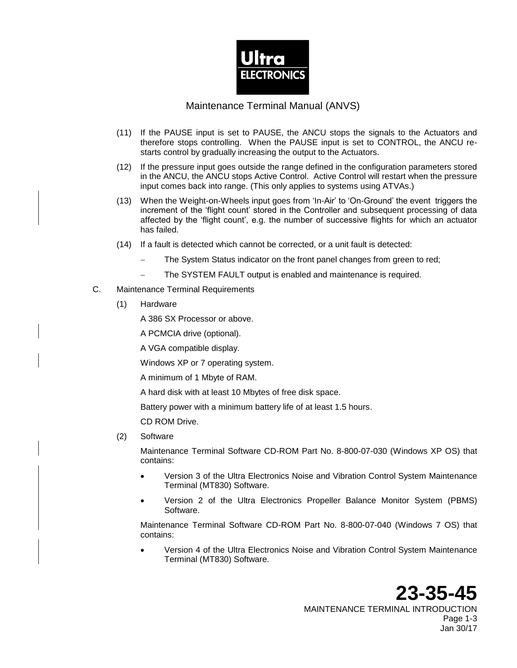

- (11) If the PAUSE input is set to PAUSE, the ANCU stops the signals to the Actuators and therefore stops controlling. When the PAUSE input is set to CONTROL, the ANCU restarts control by gradually increasing the output to the Actuators.
- (12) If the pressure input goes outside the range defined in the configuration parameters stored in the ANCU, the ANCU stops Active Control. Active Control will restart when the pressure input comes back into range. (This only applies to systems using ATVAs.)
- (13) When the Weight-on-Wheels input goes from 'In-Air' to 'On-Ground' the event triggers the increment of the 'flight count' stored in the Controller and subsequent processing of data affected by the 'flight count', e.g. the number of successive flights for which an actuator has failed.
- (14) If a fault is detected which cannot be corrected, or a unit fault is detected:
	- The System Status indicator on the front panel changes from green to red;
	- The SYSTEM FAULT output is enabled and maintenance is required.
- <span id="page-18-0"></span>C. Maintenance Terminal Requirements
	- (1) Hardware

A 386 SX Processor or above.

A PCMCIA drive (optional).

A VGA compatible display.

Windows XP or 7 operating system.

A minimum of 1 Mbyte of RAM.

A hard disk with at least 10 Mbytes of free disk space.

Battery power with a minimum battery life of at least 1.5 hours.

CD ROM Drive.

(2) Software

Maintenance Terminal Software CD-ROM Part No. 8-800-07-030 (Windows XP OS) that contains:

- Version 3 of the Ultra Electronics Noise and Vibration Control System Maintenance Terminal (MT830) Software.
- Version 2 of the Ultra Electronics Propeller Balance Monitor System (PBMS) Software.

Maintenance Terminal Software CD-ROM Part No. 8-800-07-040 (Windows 7 OS) that contains:

 Version 4 of the Ultra Electronics Noise and Vibration Control System Maintenance Terminal (MT830) Software.

> MAINTENANCE TERMINAL INTRODUCTION Page 1-3 Jan 30/17

**23-35-45**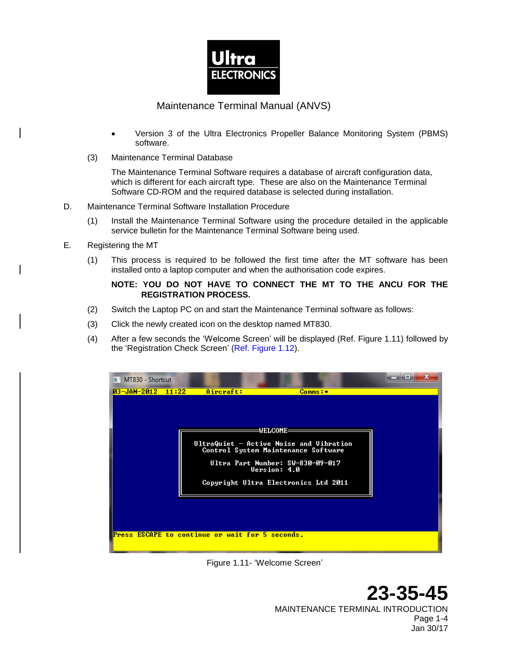

- Version 3 of the Ultra Electronics Propeller Balance Monitoring System (PBMS) software.
- (3) Maintenance Terminal Database

The Maintenance Terminal Software requires a database of aircraft configuration data, which is different for each aircraft type. These are also on the Maintenance Terminal Software CD-ROM and the required database is selected during installation.

- <span id="page-19-0"></span>D. Maintenance Terminal Software Installation Procedure
	- (1) Install the Maintenance Terminal Software using the procedure detailed in the applicable service bulletin for the Maintenance Terminal Software being used.
- <span id="page-19-1"></span>E. Registering the MT
	- (1) This process is required to be followed the first time after the MT software has been installed onto a laptop computer and when the authorisation code expires.

#### **NOTE: YOU DO NOT HAVE TO CONNECT THE MT TO THE ANCU FOR THE REGISTRATION PROCESS.**

- (2) Switch the Laptop PC on and start the Maintenance Terminal software as follows:
- (3) Click the newly created icon on the desktop named MT830.
- (4) After a few seconds the 'Welcome Screen' will be displayed (Ref. Figure 1.11) followed by the 'Registration Check Screen' (Ref. [Figure 1.12\)](#page-20-0).

| =VELCOME=                                                                      |  |
|--------------------------------------------------------------------------------|--|
| UltraQuiet - Active Noise and Uibration<br>Control System Maintenance Software |  |
| Ultra Part Number: SW-830-09-017<br>Version: 4.0                               |  |
| Copyright Ultra Electronics Ltd 2011                                           |  |

Figure 1.11- 'Welcome Screen'

**23-35-45** MAINTENANCE TERMINAL INTRODUCTION Page 1-4 Jan 30/17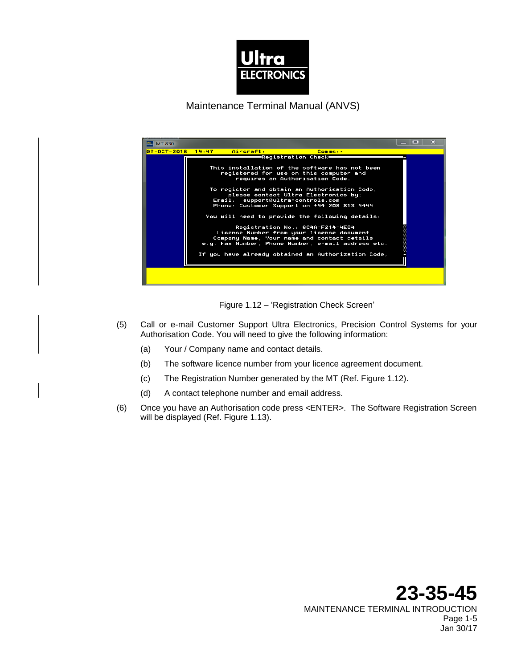



Figure 1.12 – 'Registration Check Screen'

- <span id="page-20-0"></span>(5) Call or e-mail Customer Support Ultra Electronics, Precision Control Systems for your Authorisation Code. You will need to give the following information:
	- (a) Your / Company name and contact details.
	- (b) The software licence number from your licence agreement document.
	- (c) The Registration Number generated by the MT (Ref. Figure 1.12).
	- (d) A contact telephone number and email address.
- (6) Once you have an Authorisation code press <ENTER>. The Software Registration Screen will be displayed (Ref. Figure 1.13).

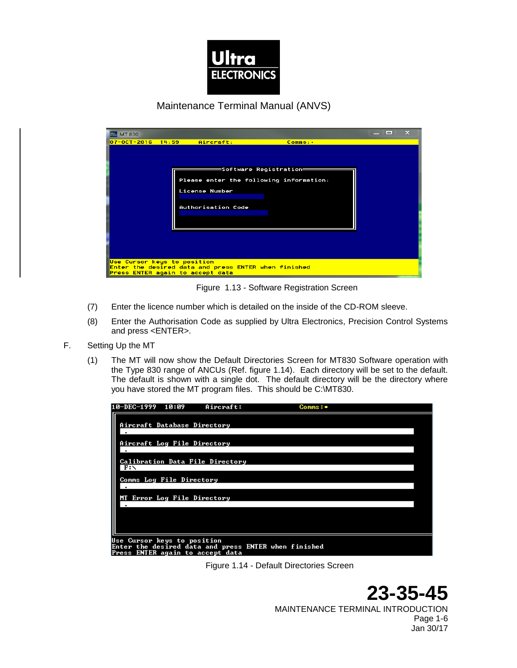

| MT 830                           |                                                      | $=$<br>— |
|----------------------------------|------------------------------------------------------|----------|
|                                  | 07-OCT-2016 14:59 Aircraft: 1<br>Comms:              |          |
|                                  |                                                      |          |
|                                  |                                                      |          |
|                                  | =Software Registration=                              |          |
|                                  |                                                      |          |
|                                  | Please enter the following information:              |          |
|                                  | License Number                                       |          |
|                                  |                                                      |          |
|                                  | Authorisation Code                                   |          |
|                                  |                                                      |          |
|                                  |                                                      |          |
|                                  |                                                      |          |
|                                  |                                                      |          |
|                                  |                                                      |          |
|                                  |                                                      |          |
| Use Cursor keys to position      |                                                      |          |
|                                  | Enter the desired data and press ENTER when finished |          |
| Press ENTER again to accept data |                                                      |          |

Figure 1.13 - Software Registration Screen

- (7) Enter the licence number which is detailed on the inside of the CD-ROM sleeve.
- (8) Enter the Authorisation Code as supplied by Ultra Electronics, Precision Control Systems and press <ENTER>.
- <span id="page-21-0"></span>F. Setting Up the MT
	- (1) The MT will now show the Default Directories Screen for MT830 Software operation with the Type 830 range of ANCUs (Ref. figure 1.14). Each directory will be set to the default. The default is shown with a single dot. The default directory will be the directory where you have stored the MT program files. This should be C:\MT830.

| 10-DEC-1999 10:09<br>Aircraft:                                                                                          | Comms:• |
|-------------------------------------------------------------------------------------------------------------------------|---------|
| Aircraft Database Directory                                                                                             |         |
| Aircraft Log File Directory                                                                                             |         |
| Calibration Data File Directory<br>F:                                                                                   |         |
| Comms Log File Directory                                                                                                |         |
| MT Error Log File Directory                                                                                             |         |
|                                                                                                                         |         |
| Use Cursor keys to position<br>Enter the desired data and press ENTER when finished<br>Press ENTER again to accept data |         |

Figure 1.14 - Default Directories Screen

**23-35-45** MAINTENANCE TERMINAL INTRODUCTION Page 1-6 Jan 30/17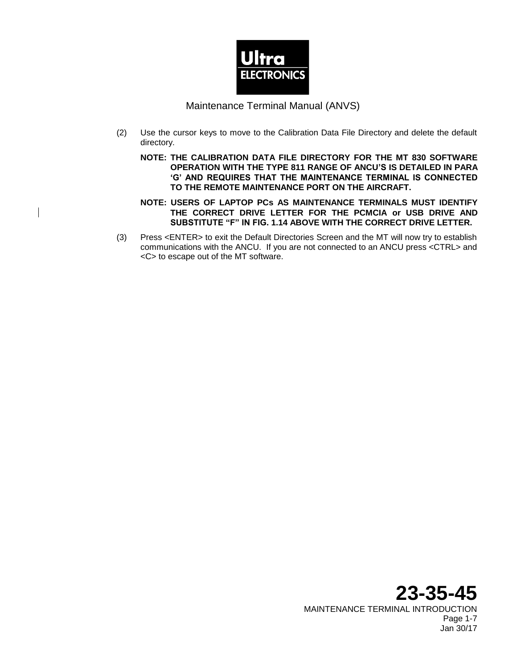

- (2) Use the cursor keys to move to the Calibration Data File Directory and delete the default directory.
	- **NOTE: THE CALIBRATION DATA FILE DIRECTORY FOR THE MT 830 SOFTWARE OPERATION WITH THE TYPE 811 RANGE OF ANCU'S IS DETAILED IN PARA 'G' AND REQUIRES THAT THE MAINTENANCE TERMINAL IS CONNECTED TO THE REMOTE MAINTENANCE PORT ON THE AIRCRAFT.**
	- **NOTE: USERS OF LAPTOP PCs AS MAINTENANCE TERMINALS MUST IDENTIFY THE CORRECT DRIVE LETTER FOR THE PCMCIA or USB DRIVE AND SUBSTITUTE "F" IN FIG. 1.14 ABOVE WITH THE CORRECT DRIVE LETTER.**
- (3) Press <ENTER> to exit the Default Directories Screen and the MT will now try to establish communications with the ANCU. If you are not connected to an ANCU press <CTRL> and <C> to escape out of the MT software.

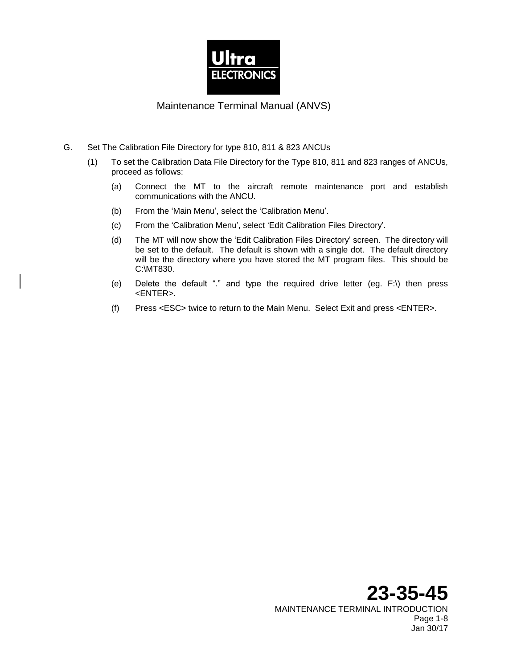

- <span id="page-23-0"></span>G. Set The Calibration File Directory for type 810, 811 & 823 ANCUs
	- (1) To set the Calibration Data File Directory for the Type 810, 811 and 823 ranges of ANCUs, proceed as follows:
		- (a) Connect the MT to the aircraft remote maintenance port and establish communications with the ANCU.
		- (b) From the 'Main Menu', select the 'Calibration Menu'.
		- (c) From the 'Calibration Menu', select 'Edit Calibration Files Directory'.
		- (d) The MT will now show the 'Edit Calibration Files Directory' screen. The directory will be set to the default. The default is shown with a single dot. The default directory will be the directory where you have stored the MT program files. This should be C:\MT830.
		- (e) Delete the default "." and type the required drive letter (eg. F:\) then press <ENTER>.
		- (f) Press <ESC> twice to return to the Main Menu. Select Exit and press <ENTER>.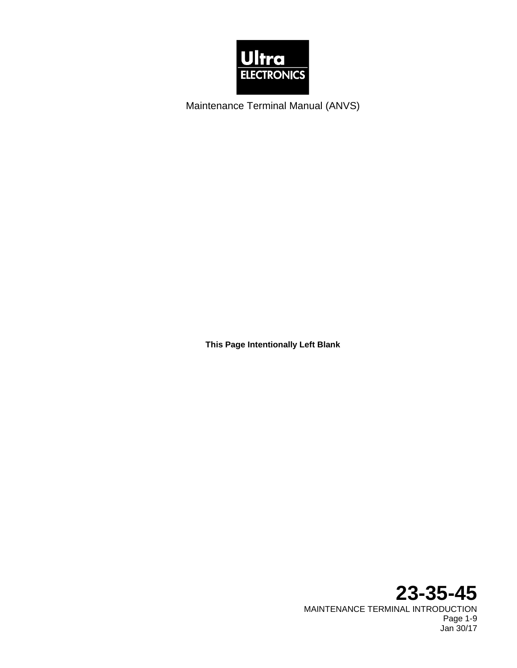

**This Page Intentionally Left Blank**

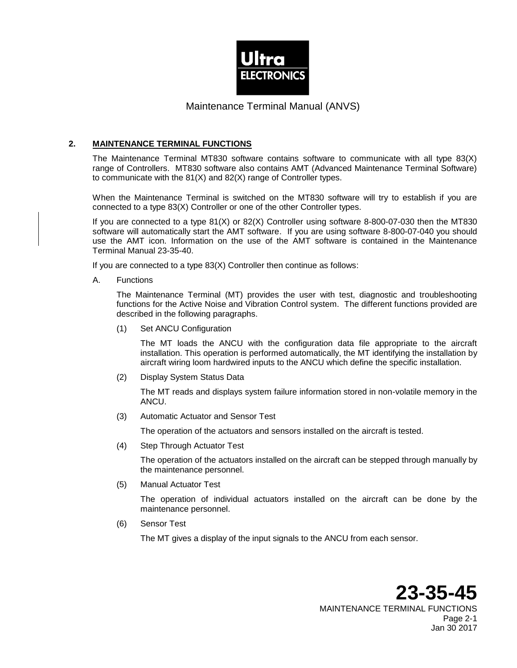

#### <span id="page-26-0"></span>**2. MAINTENANCE TERMINAL FUNCTIONS**

The Maintenance Terminal MT830 software contains software to communicate with all type 83(X) range of Controllers. MT830 software also contains AMT (Advanced Maintenance Terminal Software) to communicate with the 81(X) and 82(X) range of Controller types.

When the Maintenance Terminal is switched on the MT830 software will try to establish if you are connected to a type 83(X) Controller or one of the other Controller types.

If you are connected to a type 81(X) or 82(X) Controller using software 8-800-07-030 then the MT830 software will automatically start the AMT software. If you are using software 8-800-07-040 you should use the AMT icon. Information on the use of the AMT software is contained in the Maintenance Terminal Manual 23-35-40.

If you are connected to a type 83(X) Controller then continue as follows:

<span id="page-26-1"></span>A. Functions

The Maintenance Terminal (MT) provides the user with test, diagnostic and troubleshooting functions for the Active Noise and Vibration Control system. The different functions provided are described in the following paragraphs.

(1) Set ANCU Configuration

The MT loads the ANCU with the configuration data file appropriate to the aircraft installation. This operation is performed automatically, the MT identifying the installation by aircraft wiring loom hardwired inputs to the ANCU which define the specific installation.

(2) Display System Status Data

The MT reads and displays system failure information stored in non-volatile memory in the ANCU.

(3) Automatic Actuator and Sensor Test

The operation of the actuators and sensors installed on the aircraft is tested.

(4) Step Through Actuator Test

The operation of the actuators installed on the aircraft can be stepped through manually by the maintenance personnel.

(5) Manual Actuator Test

The operation of individual actuators installed on the aircraft can be done by the maintenance personnel.

(6) Sensor Test

The MT gives a display of the input signals to the ANCU from each sensor.

**23-35-45** MAINTENANCE TERMINAL FUNCTIONS Page 2-1 Jan 30 2017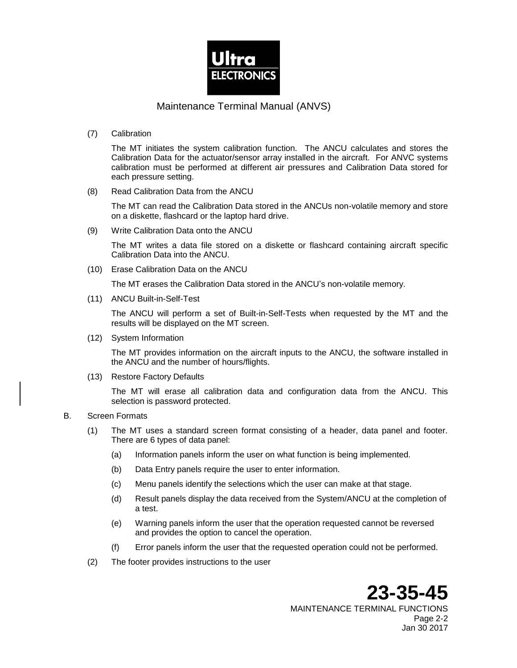

(7) Calibration

The MT initiates the system calibration function. The ANCU calculates and stores the Calibration Data for the actuator/sensor array installed in the aircraft. For ANVC systems calibration must be performed at different air pressures and Calibration Data stored for each pressure setting.

(8) Read Calibration Data from the ANCU

The MT can read the Calibration Data stored in the ANCUs non-volatile memory and store on a diskette, flashcard or the laptop hard drive.

(9) Write Calibration Data onto the ANCU

The MT writes a data file stored on a diskette or flashcard containing aircraft specific Calibration Data into the ANCU.

(10) Erase Calibration Data on the ANCU

The MT erases the Calibration Data stored in the ANCU's non-volatile memory.

(11) ANCU Built-in-Self-Test

The ANCU will perform a set of Built-in-Self-Tests when requested by the MT and the results will be displayed on the MT screen.

(12) System Information

The MT provides information on the aircraft inputs to the ANCU, the software installed in the ANCU and the number of hours/flights.

(13) Restore Factory Defaults

The MT will erase all calibration data and configuration data from the ANCU. This selection is password protected.

- <span id="page-27-0"></span>B. Screen Formats
	- (1) The MT uses a standard screen format consisting of a header, data panel and footer. There are 6 types of data panel:
		- (a) Information panels inform the user on what function is being implemented.
		- (b) Data Entry panels require the user to enter information.
		- (c) Menu panels identify the selections which the user can make at that stage.
		- (d) Result panels display the data received from the System/ANCU at the completion of a test.
		- (e) Warning panels inform the user that the operation requested cannot be reversed and provides the option to cancel the operation.
		- (f) Error panels inform the user that the requested operation could not be performed.
	- (2) The footer provides instructions to the user

**23-35-45**

MAINTENANCE TERMINAL FUNCTIONS Page 2-2 Jan 30 2017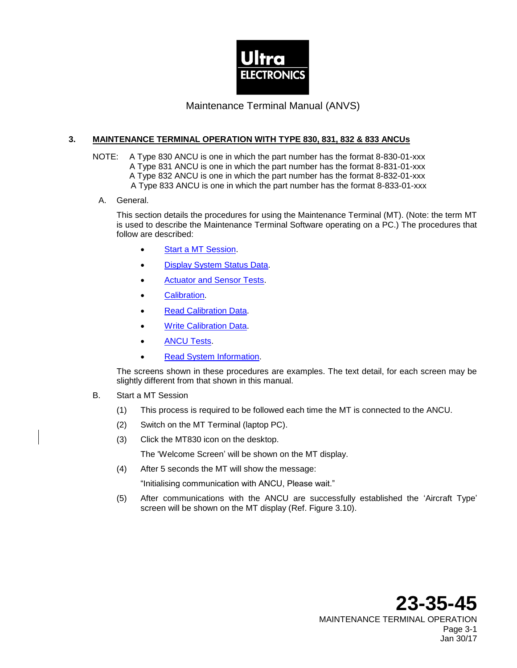

#### <span id="page-28-0"></span>**3. MAINTENANCE TERMINAL OPERATION WITH TYPE 830, 831, 832 & 833 ANCUs**

- <span id="page-28-1"></span>NOTE: A Type 830 ANCU is one in which the part number has the format 8-830-01-xxx A Type 831 ANCU is one in which the part number has the format 8-831-01-xxx A Type 832 ANCU is one in which the part number has the format 8-832-01-xxx A Type 833 ANCU is one in which the part number has the format 8-833-01-xxx
	- A. General.

This section details the procedures for using the Maintenance Terminal (MT). (Note: the term MT is used to describe the Maintenance Terminal Software operating on a PC.) The procedures that follow are described:

- [Start a MT Session.](#page-28-3)
- [Display System Status Data.](#page-30-1)
- [Actuator and Sensor Tests.](#page-31-1)
- [Calibration.](#page-37-1)
- [Read Calibration Data.](#page-39-0)
- [Write Calibration Data.](#page-39-1)
- **[ANCU Tests.](#page-48-2)**
- [Read System Information.](#page-44-1)

The screens shown in these procedures are examples. The text detail, for each screen may be slightly different from that shown in this manual.

- <span id="page-28-3"></span><span id="page-28-2"></span>B. Start a MT Session
	- (1) This process is required to be followed each time the MT is connected to the ANCU.
	- (2) Switch on the MT Terminal (laptop PC).
	- (3) Click the MT830 icon on the desktop.

The 'Welcome Screen' will be shown on the MT display.

(4) After 5 seconds the MT will show the message:

"Initialising communication with ANCU, Please wait."

(5) After communications with the ANCU are successfully established the 'Aircraft Type' screen will be shown on the MT display (Ref. Figure 3.10).

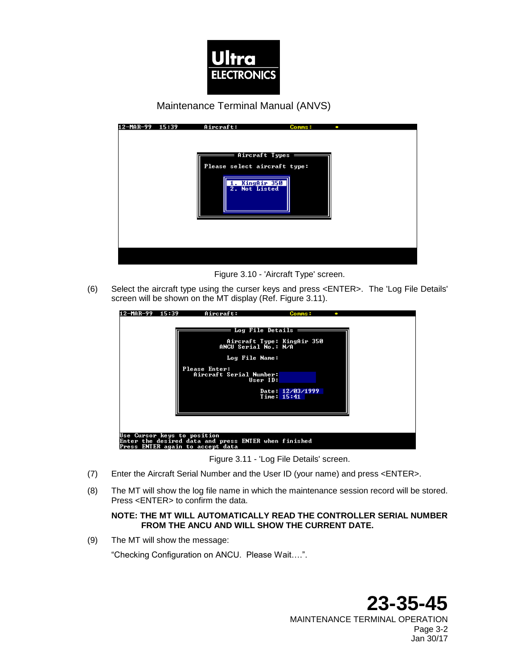

| 15:39<br>12-MAR-99 | Aircraft:                       | Comms:                | ٠ |  |
|--------------------|---------------------------------|-----------------------|---|--|
|                    |                                 |                       |   |  |
|                    |                                 |                       |   |  |
|                    |                                 | $A$ ircraft Types $=$ |   |  |
|                    | Please select aircraft type:    |                       |   |  |
|                    |                                 |                       |   |  |
|                    |                                 |                       |   |  |
|                    | 1. KingAir 350<br>2. Not Listed |                       |   |  |
|                    |                                 |                       |   |  |
|                    |                                 |                       |   |  |
|                    |                                 |                       |   |  |
|                    |                                 |                       |   |  |
|                    |                                 |                       |   |  |
|                    |                                 |                       |   |  |
|                    |                                 |                       |   |  |
|                    |                                 |                       |   |  |

Figure 3.10 - 'Aircraft Type' screen.

(6) Select the aircraft type using the curser keys and press <ENTER>. The 'Log File Details' screen will be shown on the MT display (Ref. Figure 3.11).

| 12-MAR-99 | 15:39<br>Aircraft:<br>Comms:                                                                                            |
|-----------|-------------------------------------------------------------------------------------------------------------------------|
|           | Log File Details =                                                                                                      |
|           | Aircraft Type: KingAir 350<br>ANCU Serial No.: N/A                                                                      |
|           | Log File Name:                                                                                                          |
|           | Please Enter:<br>Aircraft Serial Number:<br>User ID:                                                                    |
|           | Date: 12/03/1999<br>Time: 15:41                                                                                         |
|           |                                                                                                                         |
|           |                                                                                                                         |
|           | Use Cursor keys to position<br>Enter the desired data and press ENTER when finished<br>Press ENTER again to accept data |

Figure 3.11 - 'Log File Details' screen.

- (7) Enter the Aircraft Serial Number and the User ID (your name) and press <ENTER>.
- (8) The MT will show the log file name in which the maintenance session record will be stored. Press <ENTER> to confirm the data.

**NOTE: THE MT WILL AUTOMATICALLY READ THE CONTROLLER SERIAL NUMBER FROM THE ANCU AND WILL SHOW THE CURRENT DATE.**

(9) The MT will show the message:

"Checking Configuration on ANCU. Please Wait….".

**23-35-45** MAINTENANCE TERMINAL OPERATION Page 3-2 Jan 30/17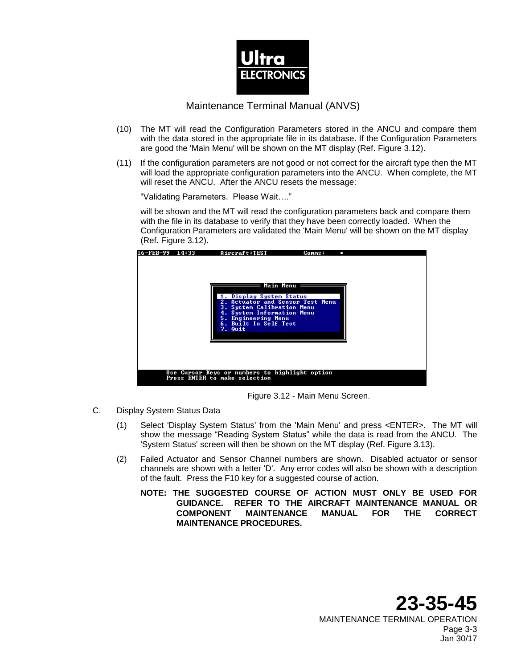

- (10) The MT will read the Configuration Parameters stored in the ANCU and compare them with the data stored in the appropriate file in its database. If the Configuration Parameters are good the 'Main Menu' will be shown on the MT display (Ref. Figure 3.12).
- (11) If the configuration parameters are not good or not correct for the aircraft type then the MT will load the appropriate configuration parameters into the ANCU. When complete, the MT will reset the ANCU. After the ANCU resets the message:

"Validating Parameters. Please Wait…."

will be shown and the MT will read the configuration parameters back and compare them with the file in its database to verify that they have been correctly loaded. When the Configuration Parameters are validated the 'Main Menu' will be shown on the MT display (Ref. Figure 3.12).

| FEB-99 14:33 | Aircraft:TEST                                                                                                                                                                                | Comms: | D |
|--------------|----------------------------------------------------------------------------------------------------------------------------------------------------------------------------------------------|--------|---|
|              |                                                                                                                                                                                              |        |   |
|              | Main Menu =<br> <br>1. Display System Status<br>2. Actuator and Sensor Test Menu<br>3. System Calibration Menu<br>4. System Information Menu<br>5. Engineering Menu<br>6. Built In Self Test |        |   |
|              | 7. Quit                                                                                                                                                                                      |        |   |
|              | Use Cursor Keys or numbers to highlight option<br>Press ENTER to make selection                                                                                                              |        |   |

Figure 3.12 - Main Menu Screen.

- <span id="page-30-1"></span><span id="page-30-0"></span>C. Display System Status Data
	- (1) Select 'Display System Status' from the 'Main Menu' and press <ENTER>. The MT will show the message "Reading System Status" while the data is read from the ANCU. The 'System Status' screen will then be shown on the MT display (Ref. Figure 3.13).
	- (2) Failed Actuator and Sensor Channel numbers are shown. Disabled actuator or sensor channels are shown with a letter 'D'. Any error codes will also be shown with a description of the fault. Press the F10 key for a suggested course of action.
		- **NOTE: THE SUGGESTED COURSE OF ACTION MUST ONLY BE USED FOR GUIDANCE. REFER TO THE AIRCRAFT MAINTENANCE MANUAL OR COMPONENT MAINTENANCE MANUAL FOR THE CORRECT MAINTENANCE PROCEDURES.**

**23-35-45** MAINTENANCE TERMINAL OPERATION Page 3-3 Jan 30/17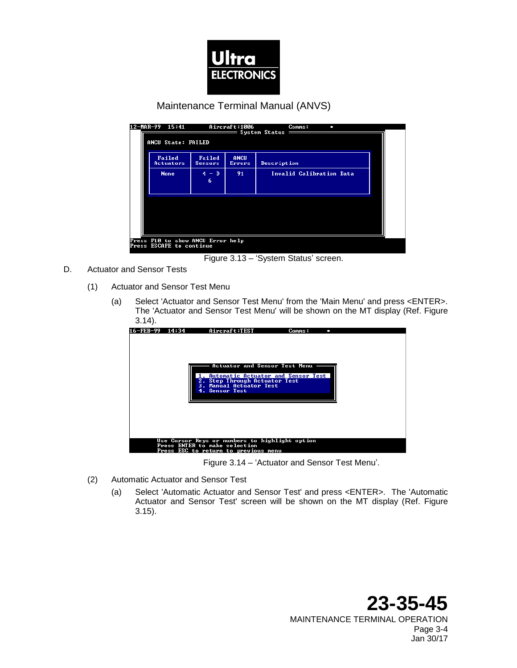

| 12-MAR-99 15:41<br>Aircraft:1006<br>Comms:<br>o<br>System Status =<br><b>ANCU State: FAILED</b> |                                                               |                                 |                       |                          |  |  |  |  |
|-------------------------------------------------------------------------------------------------|---------------------------------------------------------------|---------------------------------|-----------------------|--------------------------|--|--|--|--|
|                                                                                                 | Failed<br>Actuators                                           | <b>Failed</b><br><b>Sensors</b> | ANCU<br><b>Errors</b> | Description              |  |  |  |  |
|                                                                                                 | <b>None</b>                                                   | $4 - D$<br>6                    | 91                    | Invalid Calibration Data |  |  |  |  |
|                                                                                                 |                                                               |                                 |                       |                          |  |  |  |  |
|                                                                                                 | Press F10 to show ANCU Error help<br>Press ESCAPE to continue |                                 |                       |                          |  |  |  |  |

Figure 3.13 – 'System Status' screen.

- <span id="page-31-1"></span><span id="page-31-0"></span>D. Actuator and Sensor Tests
	- (1) Actuator and Sensor Test Menu
		- (a) Select 'Actuator and Sensor Test Menu' from the 'Main Menu' and press <ENTER>. The 'Actuator and Sensor Test Menu' will be shown on the MT display (Ref. Figure  $3.14$

| 16-FEB-99 14:34 | Aircraft:TEST                                                                                                                                       | Comms : | J |  |
|-----------------|-----------------------------------------------------------------------------------------------------------------------------------------------------|---------|---|--|
|                 |                                                                                                                                                     |         |   |  |
|                 | Actuator and Sensor Test Menu =<br>Automatic Actuator and Sensor Test<br>2. Step Through Actuator Test<br>3. Manual Actuator Test<br>4. Sensor Test |         |   |  |
|                 |                                                                                                                                                     |         |   |  |
|                 | Use Cursor Keys or numbers to highlight option<br>Press ENTER to make selection<br>Press ESC to return to previous menu                             |         |   |  |

Figure 3.14 – 'Actuator and Sensor Test Menu'.

- (2) Automatic Actuator and Sensor Test
	- (a) Select 'Automatic Actuator and Sensor Test' and press <ENTER>. The 'Automatic Actuator and Sensor Test' screen will be shown on the MT display (Ref. Figure 3.15).

**23-35-45** MAINTENANCE TERMINAL OPERATION Page 3-4 Jan 30/17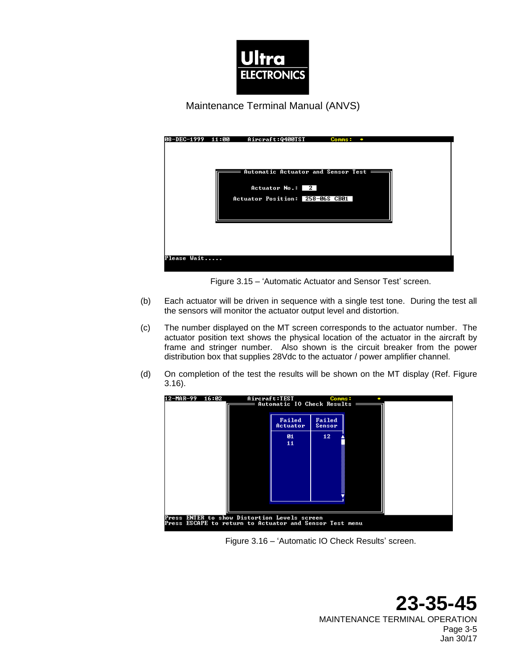

| 08-DEC-1999 11:00 | Aircraft:Q400TST<br><b>Comms:</b><br>$\bullet$     |  |
|-------------------|----------------------------------------------------|--|
|                   | Automatic Actuator and Sensor Test $=$             |  |
|                   | Actuator No.: 2<br>Actuator Position: 258-068 CB01 |  |
|                   |                                                    |  |
|                   |                                                    |  |
| Please Wait       |                                                    |  |

Figure 3.15 – 'Automatic Actuator and Sensor Test' screen.

- (b) Each actuator will be driven in sequence with a single test tone. During the test all the sensors will monitor the actuator output level and distortion.
- (c) The number displayed on the MT screen corresponds to the actuator number. The actuator position text shows the physical location of the actuator in the aircraft by frame and stringer number. Also shown is the circuit breaker from the power distribution box that supplies 28Vdc to the actuator / power amplifier channel.
- (d) On completion of the test the results will be shown on the MT display (Ref. Figure 3.16).



Figure 3.16 – 'Automatic IO Check Results' screen.

**23-35-45** MAINTENANCE TERMINAL OPERATION Page 3-5 Jan 30/17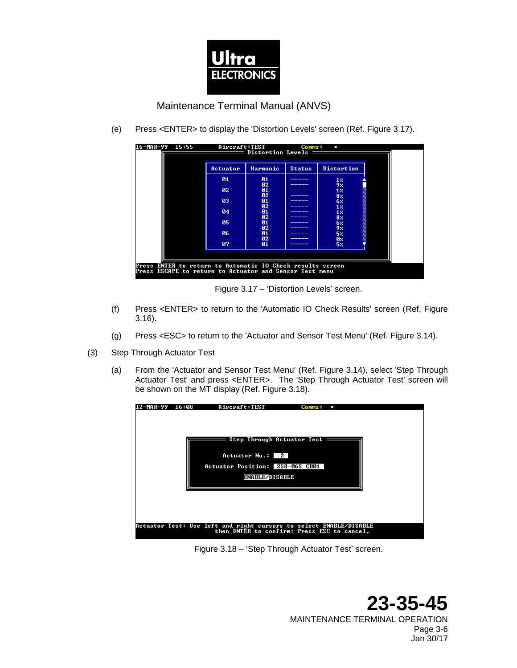

(e) Press <ENTER> to display the 'Distortion Levels' screen (Ref. Figure 3.17).

| Actuator | Harmonic       | <b>Status</b> | Distortion      |  |
|----------|----------------|---------------|-----------------|--|
| 01       | 01             |               | $1$ %           |  |
| 02       | 02<br>01       |               | 9%<br>$1$ %     |  |
| 03       | 02<br>01       |               | $8\times$<br>6% |  |
| 04       | 02<br>01<br>02 |               | $1$ %<br>$1$ %  |  |
| 05       | 01<br>02       |               | $8\times$<br>6% |  |
| 06       | 01<br>02       |               | 9%<br>5%        |  |
| 07       | 01             |               | Øz.<br>5%       |  |
|          |                |               |                 |  |

Figure 3.17 – 'Distortion Levels' screen.

- (f) Press <ENTER> to return to the 'Automatic IO Check Results' screen (Ref. Figure 3.16).
- (g) Press <ESC> to return to the 'Actuator and Sensor Test Menu' (Ref. Figure 3.14).
- (3) Step Through Actuator Test
	- (a) From the 'Actuator and Sensor Test Menu' (Ref. Figure 3.14), select 'Step Through Actuator Test' and press <ENTER>. The 'Step Through Actuator Test' screen will be shown on the MT display (Ref. Figure 3.18).

| 12-MAR-99 16:08 | Aircraft:TEST<br>Comms:<br>O                                                                                      |  |
|-----------------|-------------------------------------------------------------------------------------------------------------------|--|
|                 | Step Through Actuator Test =<br>Actuator $No.: 2$<br>Actuator Position: 258-068 CB01<br>ENABLE/DISABLE            |  |
|                 | Actuator Test: Use left and right cursors to select ENABLE/DISABLE<br>then ENTER to confirm: Press ESC to cancel. |  |

Figure 3.18 – 'Step Through Actuator Test' screen.

**23-35-45** MAINTENANCE TERMINAL OPERATION Page 3-6 Jan 30/17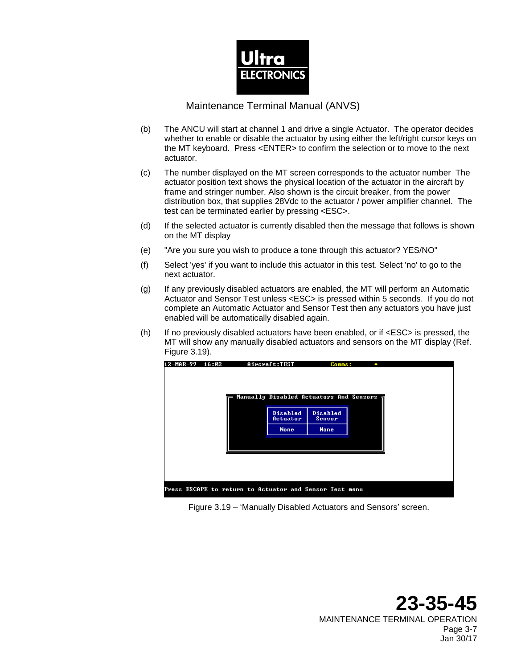

- (b) The ANCU will start at channel 1 and drive a single Actuator. The operator decides whether to enable or disable the actuator by using either the left/right cursor keys on the MT keyboard. Press <ENTER> to confirm the selection or to move to the next actuator.
- (c) The number displayed on the MT screen corresponds to the actuator number The actuator position text shows the physical location of the actuator in the aircraft by frame and stringer number. Also shown is the circuit breaker, from the power distribution box, that supplies 28Vdc to the actuator / power amplifier channel. The test can be terminated earlier by pressing <ESC>.
- (d) If the selected actuator is currently disabled then the message that follows is shown on the MT display
- (e) "Are you sure you wish to produce a tone through this actuator? YES/NO"
- (f) Select 'yes' if you want to include this actuator in this test. Select 'no' to go to the next actuator.
- (g) If any previously disabled actuators are enabled, the MT will perform an Automatic Actuator and Sensor Test unless <ESC> is pressed within 5 seconds. If you do not complete an Automatic Actuator and Sensor Test then any actuators you have just enabled will be automatically disabled again.
- (h) If no previously disabled actuators have been enabled, or if <ESC> is pressed, the MT will show any manually disabled actuators and sensors on the MT display (Ref. Figure 3.19).



Figure 3.19 – 'Manually Disabled Actuators and Sensors' screen.

**23-35-45** MAINTENANCE TERMINAL OPERATION Page 3-7 Jan 30/17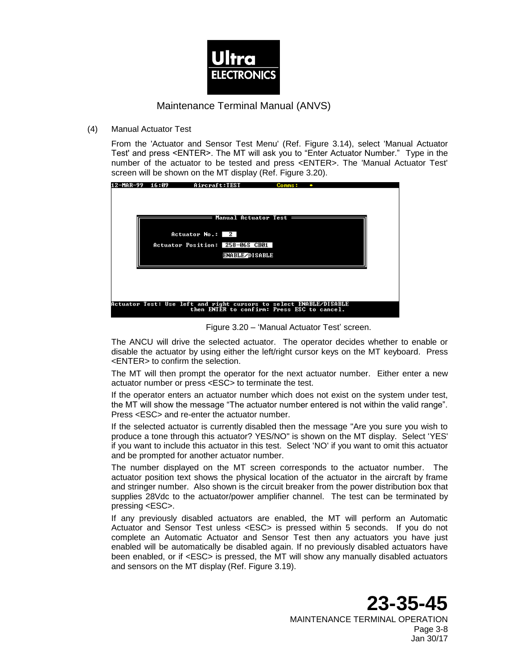

(4) Manual Actuator Test

From the 'Actuator and Sensor Test Menu' (Ref. Figure 3.14), select 'Manual Actuator Test' and press <ENTER>. The MT will ask you to "Enter Actuator Number." Type in the number of the actuator to be tested and press <ENTER>. The 'Manual Actuator Test' screen will be shown on the MT display (Ref. Figure 3.20).

| 12-MAR-99 | 16:09<br>Aircraft:TEST                                                                                            | Comms:<br>0 |
|-----------|-------------------------------------------------------------------------------------------------------------------|-------------|
|           |                                                                                                                   |             |
|           |                                                                                                                   |             |
|           | Manual Actuator Test =                                                                                            |             |
|           | Actuator No.: 2<br>Actuator Position: 258-068 CB01<br>ENABLE/DISABLE                                              |             |
|           |                                                                                                                   |             |
|           |                                                                                                                   |             |
|           |                                                                                                                   |             |
|           | Actuator Test: Use left and right cursors to select ENABLE/DISABLE<br>then ENTER to confirm: Press ESC to cancel. |             |

Figure 3.20 – 'Manual Actuator Test' screen.

The ANCU will drive the selected actuator. The operator decides whether to enable or disable the actuator by using either the left/right cursor keys on the MT keyboard. Press <ENTER> to confirm the selection.

The MT will then prompt the operator for the next actuator number. Either enter a new actuator number or press <ESC> to terminate the test.

If the operator enters an actuator number which does not exist on the system under test, the MT will show the message "The actuator number entered is not within the valid range". Press <ESC> and re-enter the actuator number.

If the selected actuator is currently disabled then the message "Are you sure you wish to produce a tone through this actuator? YES/NO" is shown on the MT display. Select 'YES' if you want to include this actuator in this test. Select 'NO' if you want to omit this actuator and be prompted for another actuator number.

The number displayed on the MT screen corresponds to the actuator number. The actuator position text shows the physical location of the actuator in the aircraft by frame and stringer number. Also shown is the circuit breaker from the power distribution box that supplies 28Vdc to the actuator/power amplifier channel. The test can be terminated by pressing <ESC>.

If any previously disabled actuators are enabled, the MT will perform an Automatic Actuator and Sensor Test unless <ESC> is pressed within 5 seconds. If you do not complete an Automatic Actuator and Sensor Test then any actuators you have just enabled will be automatically be disabled again. If no previously disabled actuators have been enabled, or if <ESC> is pressed, the MT will show any manually disabled actuators and sensors on the MT display (Ref. Figure 3.19).

> MAINTENANCE TERMINAL OPERATION Page 3-8 Jan 30/17

**23-35-45**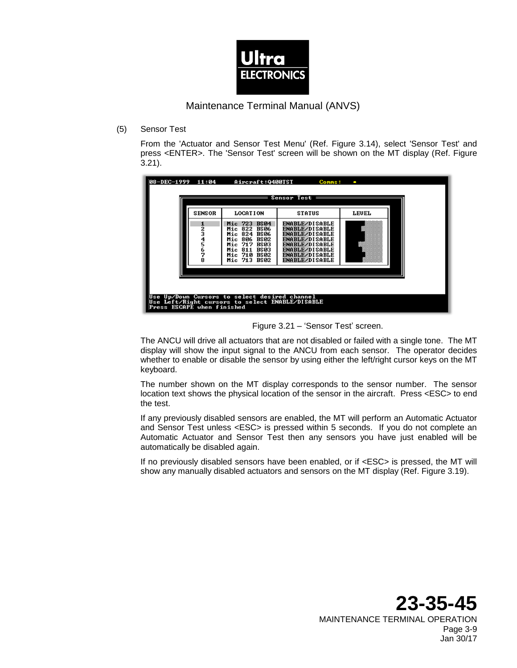

(5) Sensor Test

From the 'Actuator and Sensor Test Menu' (Ref. Figure 3.14), select 'Sensor Test' and press <ENTER>. The 'Sensor Test' screen will be shown on the MT display (Ref. Figure 3.21).

| 08-DEC-1999 11:04          |                                      | Aircraft:0400TST                                                                                                                             | Comms:<br>Sensor Test $=$                                                                                                                    | $\bullet$    |  |
|----------------------------|--------------------------------------|----------------------------------------------------------------------------------------------------------------------------------------------|----------------------------------------------------------------------------------------------------------------------------------------------|--------------|--|
|                            |                                      |                                                                                                                                              |                                                                                                                                              |              |  |
|                            | <b>SENSOR</b>                        | <b>LOCATION</b>                                                                                                                              | <b>STATUS</b>                                                                                                                                | <b>LEUEL</b> |  |
|                            | $\bar{2\over 3}$<br>5<br>6<br>7<br>я | <b>BS04</b><br>Mic<br>723<br>Mic<br>822 BS06<br>Mic 824 BS06<br>Mic 806 BS02<br>Mic 717 BS03<br>Mic 811 BS03<br>Mic 710 BS02<br>Mic 713 BS02 | ENABLE/DISABLE<br>ENABLE/DISABLE<br>ENABLE/DISABLE<br>ENABLE/DISABLE<br>ENABLE/DISABLE<br>ENABLE/DISABLE<br>ENABLE/DISABLE<br>ENABLE/DISABLE |              |  |
| Press ESCAPE when finished |                                      | Use Up/Down Cursors to select desired channel<br>Use Left/Right cursors to select ENABLE/DISABLE                                             |                                                                                                                                              |              |  |

Figure 3.21 – 'Sensor Test' screen.

The ANCU will drive all actuators that are not disabled or failed with a single tone. The MT display will show the input signal to the ANCU from each sensor. The operator decides whether to enable or disable the sensor by using either the left/right cursor keys on the MT keyboard.

The number shown on the MT display corresponds to the sensor number. The sensor location text shows the physical location of the sensor in the aircraft. Press <ESC> to end the test.

If any previously disabled sensors are enabled, the MT will perform an Automatic Actuator and Sensor Test unless <ESC> is pressed within 5 seconds. If you do not complete an Automatic Actuator and Sensor Test then any sensors you have just enabled will be automatically be disabled again.

If no previously disabled sensors have been enabled, or if <ESC> is pressed, the MT will show any manually disabled actuators and sensors on the MT display (Ref. Figure 3.19).

> **23-35-45** MAINTENANCE TERMINAL OPERATION Page 3-9 Jan 30/17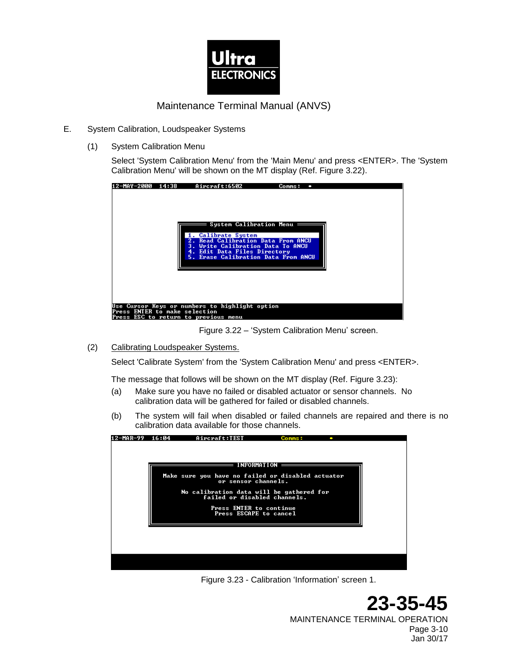

- <span id="page-37-1"></span><span id="page-37-0"></span>E. System Calibration, Loudspeaker Systems
	- (1) System Calibration Menu

Select 'System Calibration Menu' from the 'Main Menu' and press <ENTER>. The 'System Calibration Menu' will be shown on the MT display (Ref. Figure 3.22).

| 12-MAY-2000 14:38                                                     | Aircraft:6502                                                                                                                                                             | Comms:<br>O |
|-----------------------------------------------------------------------|---------------------------------------------------------------------------------------------------------------------------------------------------------------------------|-------------|
|                                                                       |                                                                                                                                                                           |             |
|                                                                       | System Calibration Menu =                                                                                                                                                 |             |
|                                                                       | 1. Calibrate System<br><b>Read Calibration Data From ANCU</b><br>3. Write Calibration Data To ANCU<br>4. Edit Data Files Directory<br>5. Erase Calibration Data From ANCU |             |
|                                                                       |                                                                                                                                                                           |             |
|                                                                       |                                                                                                                                                                           |             |
| Press ENTER to make selection<br>Press ESC to return to previous menu | Use Cursor Keys or numbers to highlight option                                                                                                                            |             |

Figure 3.22 – 'System Calibration Menu' screen.

(2) Calibrating Loudspeaker Systems.

Select 'Calibrate System' from the 'System Calibration Menu' and press <ENTER>.

The message that follows will be shown on the MT display (Ref. Figure 3.23):

- (a) Make sure you have no failed or disabled actuator or sensor channels. No calibration data will be gathered for failed or disabled channels.
- (b) The system will fail when disabled or failed channels are repaired and there is no calibration data available for those channels.

| 12-MAR-99 | 16:04 | Aircraft:TEST                                                            | Comms:                                            |  |
|-----------|-------|--------------------------------------------------------------------------|---------------------------------------------------|--|
|           |       |                                                                          |                                                   |  |
|           |       |                                                                          |                                                   |  |
|           |       | INFORMATION                                                              |                                                   |  |
|           |       | or sensor channels.                                                      | Make sure you have no failed or disabled actuator |  |
|           |       | No calibration data will be gathered for<br>failed or disabled channels. |                                                   |  |
|           |       | Press ENTER to continue<br>Press ESCAPE to cancel                        |                                                   |  |
|           |       |                                                                          |                                                   |  |
|           |       |                                                                          |                                                   |  |
|           |       |                                                                          |                                                   |  |
|           |       |                                                                          |                                                   |  |
|           |       |                                                                          |                                                   |  |

Figure 3.23 - Calibration 'Information' screen 1.

**23-35-45** MAINTENANCE TERMINAL OPERATION Page 3-10 Jan 30/17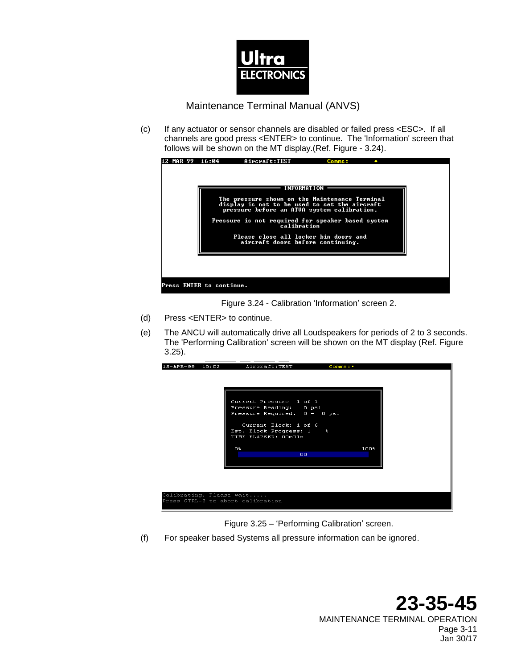

(c) If any actuator or sensor channels are disabled or failed press <ESC>. If all channels are good press <ENTER> to continue. The 'Information' screen that follows will be shown on the MT display.(Ref. Figure - 3.24).



Figure 3.24 - Calibration 'Information' screen 2.

- (d) Press <ENTER> to continue.
- (e) The ANCU will automatically drive all Loudspeakers for periods of 2 to 3 seconds. The 'Performing Calibration' screen will be shown on the MT display (Ref. Figure 3.25).



Figure 3.25 – 'Performing Calibration' screen.

(f) For speaker based Systems all pressure information can be ignored.

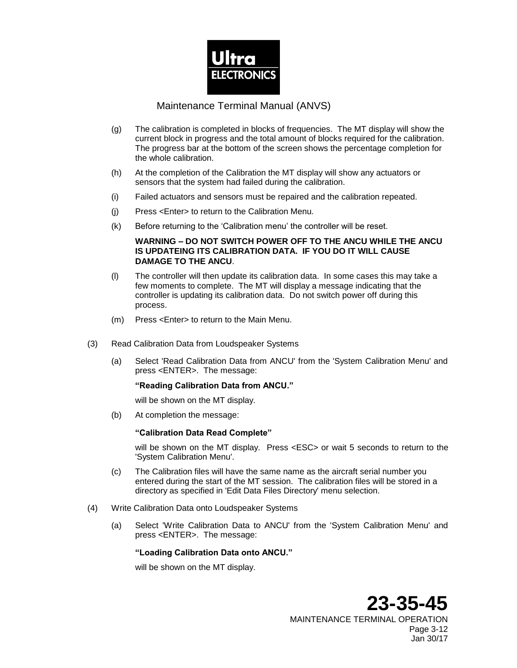

- (g) The calibration is completed in blocks of frequencies. The MT display will show the current block in progress and the total amount of blocks required for the calibration. The progress bar at the bottom of the screen shows the percentage completion for the whole calibration.
- (h) At the completion of the Calibration the MT display will show any actuators or sensors that the system had failed during the calibration.
- (i) Failed actuators and sensors must be repaired and the calibration repeated.
- (j) Press <Enter> to return to the Calibration Menu.
- (k) Before returning to the 'Calibration menu' the controller will be reset.

#### **WARNING – DO NOT SWITCH POWER OFF TO THE ANCU WHILE THE ANCU IS UPDATEING ITS CALIBRATION DATA. IF YOU DO IT WILL CAUSE DAMAGE TO THE ANCU**.

- (l) The controller will then update its calibration data. In some cases this may take a few moments to complete. The MT will display a message indicating that the controller is updating its calibration data. Do not switch power off during this process.
- (m) Press <Enter> to return to the Main Menu.
- <span id="page-39-0"></span>(3) Read Calibration Data from Loudspeaker Systems
	- (a) Select 'Read Calibration Data from ANCU' from the 'System Calibration Menu' and press <ENTER>. The message:

#### **"Reading Calibration Data from ANCU."**

will be shown on the MT display.

(b) At completion the message:

#### **"Calibration Data Read Complete"**

will be shown on the MT display. Press <ESC> or wait 5 seconds to return to the 'System Calibration Menu'.

- (c) The Calibration files will have the same name as the aircraft serial number you entered during the start of the MT session. The calibration files will be stored in a directory as specified in 'Edit Data Files Directory' menu selection.
- <span id="page-39-1"></span>(4) Write Calibration Data onto Loudspeaker Systems
	- (a) Select 'Write Calibration Data to ANCU' from the 'System Calibration Menu' and press <ENTER>. The message:

#### **"Loading Calibration Data onto ANCU."**

will be shown on the MT display.

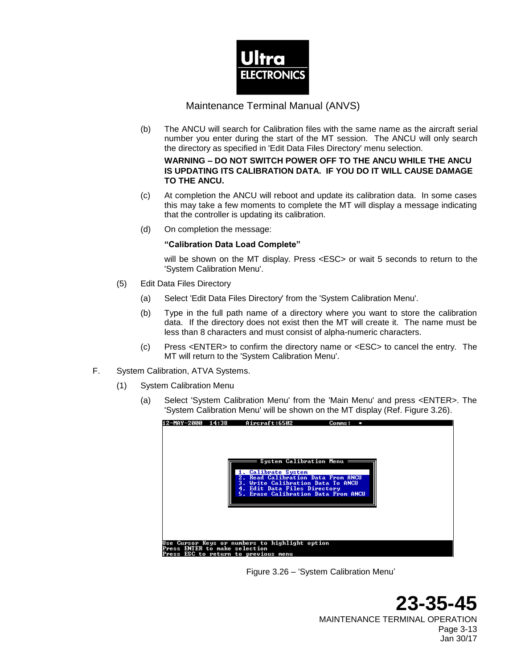

(b) The ANCU will search for Calibration files with the same name as the aircraft serial number you enter during the start of the MT session. The ANCU will only search the directory as specified in 'Edit Data Files Directory' menu selection.

#### **WARNING – DO NOT SWITCH POWER OFF TO THE ANCU WHILE THE ANCU IS UPDATING ITS CALIBRATION DATA. IF YOU DO IT WILL CAUSE DAMAGE TO THE ANCU.**

- (c) At completion the ANCU will reboot and update its calibration data. In some cases this may take a few moments to complete the MT will display a message indicating that the controller is updating its calibration.
- (d) On completion the message:

#### **"Calibration Data Load Complete"**

will be shown on the MT display. Press <ESC> or wait 5 seconds to return to the 'System Calibration Menu'.

- (5) Edit Data Files Directory
	- (a) Select 'Edit Data Files Directory' from the 'System Calibration Menu'.
	- (b) Type in the full path name of a directory where you want to store the calibration data. If the directory does not exist then the MT will create it. The name must be less than 8 characters and must consist of alpha-numeric characters.
	- (c) Press <ENTER> to confirm the directory name or <ESC> to cancel the entry. The MT will return to the 'System Calibration Menu'.
- <span id="page-40-0"></span>F. System Calibration, ATVA Systems.
	- (1) System Calibration Menu
		- (a) Select 'System Calibration Menu' from the 'Main Menu' and press <ENTER>. The 'System Calibration Menu' will be shown on the MT display (Ref. Figure 3.26).



Figure 3.26 – 'System Calibration Menu'

**23-35-45** MAINTENANCE TERMINAL OPERATION Page 3-13 Jan 30/17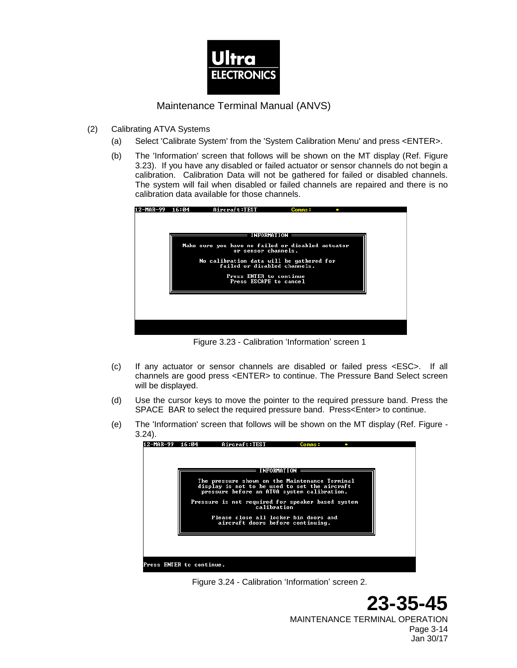

- (2) Calibrating ATVA Systems
	- (a) Select 'Calibrate System' from the 'System Calibration Menu' and press <ENTER>.
	- (b) The 'Information' screen that follows will be shown on the MT display (Ref. Figure 3.23). If you have any disabled or failed actuator or sensor channels do not begin a calibration. Calibration Data will not be gathered for failed or disabled channels. The system will fail when disabled or failed channels are repaired and there is no calibration data available for those channels.

| 12-MAR-99 16:04 | Aircraft:TEST                                                            | Comms:<br>٠ |  |
|-----------------|--------------------------------------------------------------------------|-------------|--|
|                 |                                                                          |             |  |
|                 | <b>INFORMATION</b><br>═                                                  |             |  |
|                 | Make sure you have no failed or disabled actuator<br>or sensor channels. |             |  |
|                 | No calibration data will be gathered for<br>failed or disabled channels. |             |  |
|                 | Press ENTER to continue<br>Press ESCAPE to cancel                        |             |  |
|                 |                                                                          |             |  |
|                 |                                                                          |             |  |
|                 |                                                                          |             |  |
|                 |                                                                          |             |  |

Figure 3.23 - Calibration 'Information' screen 1

- (c) If any actuator or sensor channels are disabled or failed press <ESC>. If all channels are good press <ENTER> to continue. The Pressure Band Select screen will be displayed.
- (d) Use the cursor keys to move the pointer to the required pressure band. Press the SPACE BAR to select the required pressure band. Press<Enter> to continue.
- (e) The 'Information' screen that follows will be shown on the MT display (Ref. Figure 3.24).



Figure 3.24 - Calibration 'Information' screen 2.

**23-35-45** MAINTENANCE TERMINAL OPERATION Page 3-14 Jan 30/17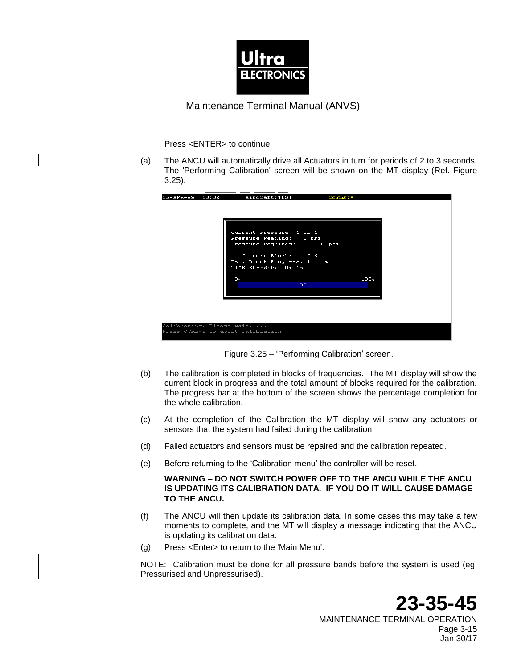

Press <ENTER> to continue.

(a) The ANCU will automatically drive all Actuators in turn for periods of 2 to 3 seconds. The 'Performing Calibration' screen will be shown on the MT display (Ref. Figure 3.25).

| 15-APR-99 10:02          | Aircraft:TEST                       | Comms: - |
|--------------------------|-------------------------------------|----------|
|                          |                                     |          |
|                          |                                     |          |
|                          |                                     |          |
|                          |                                     |          |
|                          |                                     |          |
|                          | Current Pressure 1 of 1             |          |
|                          | Pressure Reading: 0 psi             |          |
|                          | Pressure Required: 0 - 0 psi        |          |
|                          |                                     |          |
|                          | Current Block: 1 of 6               |          |
|                          | Est. Block Progress: 1<br>$\approx$ |          |
|                          | TIME ELAPSED: 00m01s                |          |
|                          |                                     |          |
|                          | Ο%                                  | $100*$   |
|                          | 00                                  |          |
|                          |                                     |          |
|                          |                                     |          |
|                          |                                     |          |
|                          |                                     |          |
|                          |                                     |          |
|                          |                                     |          |
| Calibrating. Please wait |                                     |          |
|                          | Press CTRL-Z to abort calibration   |          |
|                          |                                     |          |

Figure 3.25 – 'Performing Calibration' screen.

- (b) The calibration is completed in blocks of frequencies. The MT display will show the current block in progress and the total amount of blocks required for the calibration. The progress bar at the bottom of the screen shows the percentage completion for the whole calibration.
- (c) At the completion of the Calibration the MT display will show any actuators or sensors that the system had failed during the calibration.
- (d) Failed actuators and sensors must be repaired and the calibration repeated.
- (e) Before returning to the 'Calibration menu' the controller will be reset.

**WARNING – DO NOT SWITCH POWER OFF TO THE ANCU WHILE THE ANCU IS UPDATING ITS CALIBRATION DATA. IF YOU DO IT WILL CAUSE DAMAGE TO THE ANCU.**

- (f) The ANCU will then update its calibration data. In some cases this may take a few moments to complete, and the MT will display a message indicating that the ANCU is updating its calibration data.
- (g) Press <Enter> to return to the 'Main Menu'.

NOTE: Calibration must be done for all pressure bands before the system is used (eg. Pressurised and Unpressurised).

> MAINTENANCE TERMINAL OPERATION Page 3-15 Jan 30/17

**23-35-45**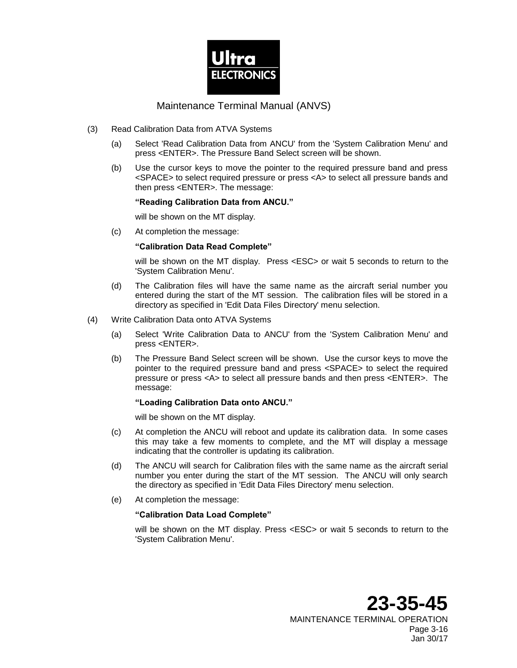

- (3) Read Calibration Data from ATVA Systems
	- (a) Select 'Read Calibration Data from ANCU' from the 'System Calibration Menu' and press <ENTER>. The Pressure Band Select screen will be shown.
	- (b) Use the cursor keys to move the pointer to the required pressure band and press <SPACE> to select required pressure or press <A> to select all pressure bands and then press <ENTER>. The message:

#### **"Reading Calibration Data from ANCU."**

will be shown on the MT display.

(c) At completion the message:

#### **"Calibration Data Read Complete"**

will be shown on the MT display. Press <ESC> or wait 5 seconds to return to the 'System Calibration Menu'.

- (d) The Calibration files will have the same name as the aircraft serial number you entered during the start of the MT session. The calibration files will be stored in a directory as specified in 'Edit Data Files Directory' menu selection.
- (4) Write Calibration Data onto ATVA Systems
	- (a) Select 'Write Calibration Data to ANCU' from the 'System Calibration Menu' and press <ENTER>.
	- (b) The Pressure Band Select screen will be shown. Use the cursor keys to move the pointer to the required pressure band and press <SPACE> to select the required pressure or press <A> to select all pressure bands and then press <ENTER>. The message:

#### **"Loading Calibration Data onto ANCU."**

will be shown on the MT display.

- (c) At completion the ANCU will reboot and update its calibration data. In some cases this may take a few moments to complete, and the MT will display a message indicating that the controller is updating its calibration.
- (d) The ANCU will search for Calibration files with the same name as the aircraft serial number you enter during the start of the MT session. The ANCU will only search the directory as specified in 'Edit Data Files Directory' menu selection.
- (e) At completion the message:

#### **"Calibration Data Load Complete"**

will be shown on the MT display. Press <ESC> or wait 5 seconds to return to the 'System Calibration Menu'.

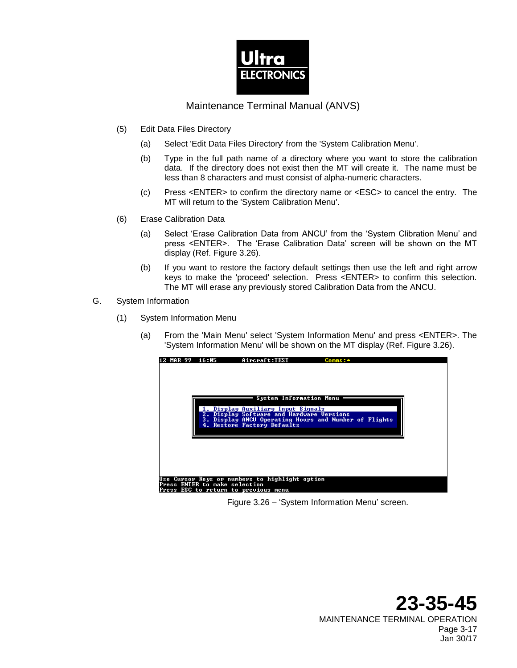

- (5) Edit Data Files Directory
	- (a) Select 'Edit Data Files Directory' from the 'System Calibration Menu'.
	- (b) Type in the full path name of a directory where you want to store the calibration data. If the directory does not exist then the MT will create it. The name must be less than 8 characters and must consist of alpha-numeric characters.
	- (c) Press <ENTER> to confirm the directory name or <ESC> to cancel the entry. The MT will return to the 'System Calibration Menu'.
- (6) Erase Calibration Data
	- (a) Select 'Erase Calibration Data from ANCU' from the 'System Clibration Menu' and press <ENTER>. The 'Erase Calibration Data' screen will be shown on the MT display (Ref. Figure 3.26).
	- (b) If you want to restore the factory default settings then use the left and right arrow keys to make the 'proceed' selection. Press <ENTER> to confirm this selection. The MT will erase any previously stored Calibration Data from the ANCU.
- <span id="page-44-1"></span><span id="page-44-0"></span>G. System Information
	- (1) System Information Menu
		- (a) From the 'Main Menu' select 'System Information Menu' and press <ENTER>. The 'System Information Menu' will be shown on the MT display (Ref. Figure 3.26).

| 12-MAR-99 16:05                                                       | Aircraft:TEST                             | Comms: •                                              |  |
|-----------------------------------------------------------------------|-------------------------------------------|-------------------------------------------------------|--|
|                                                                       |                                           |                                                       |  |
|                                                                       |                                           |                                                       |  |
|                                                                       | System Information Menu $=$               |                                                       |  |
|                                                                       | 1. Display Auxiliary Input Signals        |                                                       |  |
|                                                                       | 2. Display Software and Hardware Versions | 3. Display ANCU Operating Hours and Number of Flights |  |
|                                                                       | 4. Restore Factory Defaults               |                                                       |  |
|                                                                       |                                           |                                                       |  |
|                                                                       |                                           |                                                       |  |
|                                                                       |                                           |                                                       |  |
| Use Cursor Keys or numbers to highlight option                        |                                           |                                                       |  |
| Press ENTER to make selection<br>Press ESC to return to previous menu |                                           |                                                       |  |

Figure 3.26 – 'System Information Menu' screen.

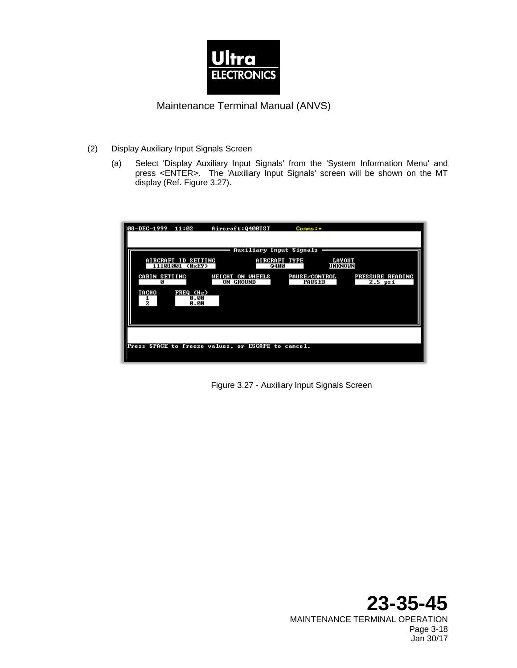

- (2) Display Auxiliary Input Signals Screen
	- (a) Select 'Display Auxiliary Input Signals' from the 'System Information Menu' and press <ENTER>. The 'Auxiliary Input Signals' screen will be shown on the MT display (Ref. Figure 3.27).

| 08-DEC-1999 11:02<br>Aircraft:Q400TST<br>$Comms: \bullet$                                                                                                                |  |
|--------------------------------------------------------------------------------------------------------------------------------------------------------------------------|--|
| Auxiliary Input Signals =<br>AIRCRAFT ID SETTING<br>AIRCRAFT TYPE<br><b>LAYOUT</b><br><b>UNKNOWN</b><br>11101001 (0xE9)<br>9400                                          |  |
| CABIN SETTING<br>PRESSURE READING<br><b>WEIGHT ON WHEELS</b><br><b>PAUSE/CONTROL</b><br><b>ON GROUND</b><br><b>PAUSED</b><br>$2.5$ psi<br>и<br><b>TACHO</b><br>FREQ (Hz) |  |
| 0.00<br>0.00                                                                                                                                                             |  |
|                                                                                                                                                                          |  |
| Press SPACE to freeze values, or ESCAPE to cancel.                                                                                                                       |  |

Figure 3.27 - Auxiliary Input Signals Screen

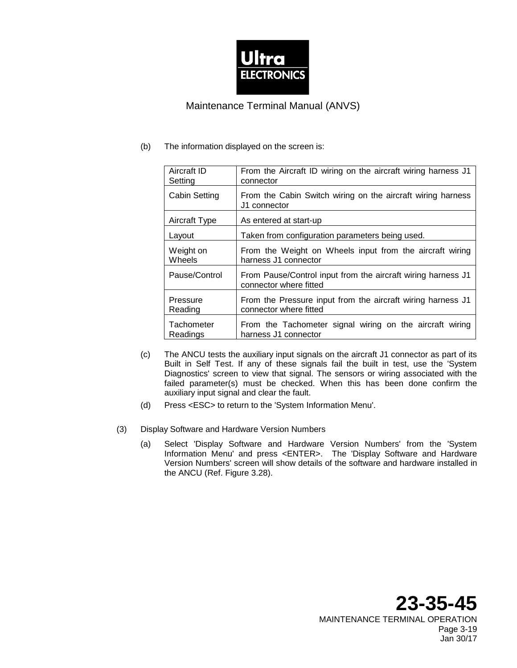

(b) The information displayed on the screen is:

| Aircraft ID<br>Setting | From the Aircraft ID wiring on the aircraft wiring harness J1<br>connector             |
|------------------------|----------------------------------------------------------------------------------------|
| Cabin Setting          | From the Cabin Switch wiring on the aircraft wiring harness<br>J1 connector            |
| Aircraft Type          | As entered at start-up                                                                 |
| Layout                 | Taken from configuration parameters being used.                                        |
| Weight on<br>Wheels    | From the Weight on Wheels input from the aircraft wiring<br>harness J1 connector       |
| Pause/Control          | From Pause/Control input from the aircraft wiring harness J1<br>connector where fitted |
| Pressure<br>Reading    | From the Pressure input from the aircraft wiring harness J1<br>connector where fitted  |
| Tachometer<br>Readings | From the Tachometer signal wiring on the aircraft wiring<br>harness J1 connector       |

- (c) The ANCU tests the auxiliary input signals on the aircraft J1 connector as part of its Built in Self Test. If any of these signals fail the built in test, use the 'System Diagnostics' screen to view that signal. The sensors or wiring associated with the failed parameter(s) must be checked. When this has been done confirm the auxiliary input signal and clear the fault.
- (d) Press <ESC> to return to the 'System Information Menu'.
- (3) Display Software and Hardware Version Numbers
	- (a) Select 'Display Software and Hardware Version Numbers' from the 'System Information Menu' and press <ENTER>. The 'Display Software and Hardware Version Numbers' screen will show details of the software and hardware installed in the ANCU (Ref. Figure 3.28).

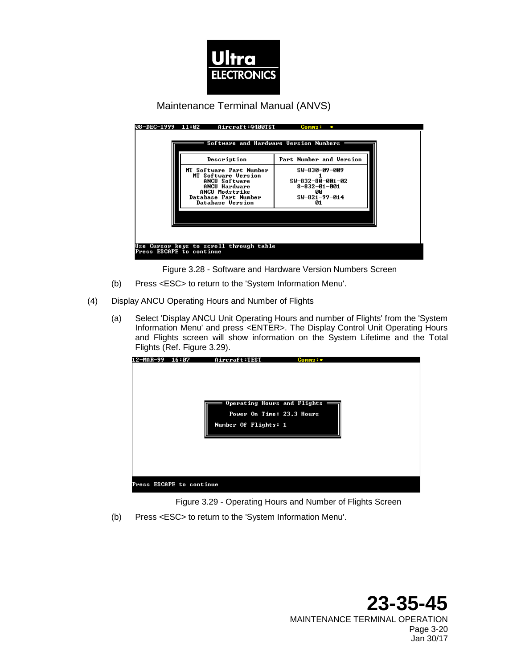

Figure 3.28 - Software and Hardware Version Numbers Screen

- (b) Press <ESC> to return to the 'System Information Menu'.
- (4) Display ANCU Operating Hours and Number of Flights
	- (a) Select 'Display ANCU Unit Operating Hours and number of Flights' from the 'System Information Menu' and press <ENTER>. The Display Control Unit Operating Hours and Flights screen will show information on the System Lifetime and the Total Flights (Ref. Figure 3.29).



Figure 3.29 - Operating Hours and Number of Flights Screen

(b) Press <ESC> to return to the 'System Information Menu'.

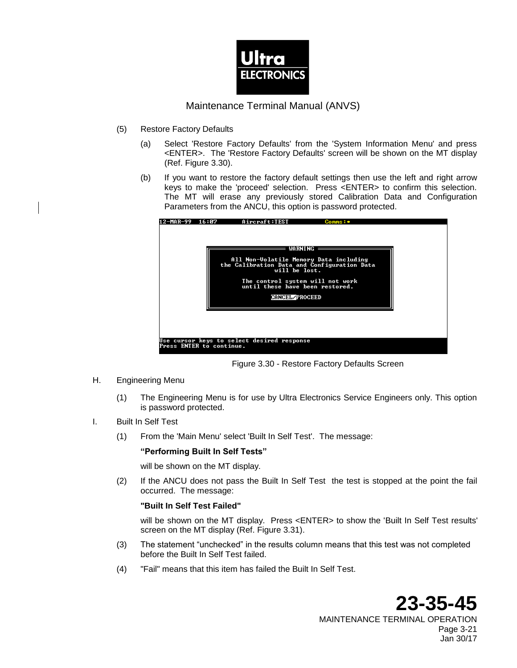

- (5) Restore Factory Defaults
	- (a) Select 'Restore Factory Defaults' from the 'System Information Menu' and press <ENTER>. The 'Restore Factory Defaults' screen will be shown on the MT display (Ref. Figure 3.30).
	- (b) If you want to restore the factory default settings then use the left and right arrow keys to make the 'proceed' selection. Press <ENTER> to confirm this selection. The MT will erase any previously stored Calibration Data and Configuration Parameters from the ANCU, this option is password protected.

| <b>WARNING -</b><br>All Non-Volatile Memory Data including<br>the Calibration Data and Configuration Data<br>will be lost.<br>The control system will not work<br>until these have been restored.<br><b>CANCEL/PROCEED</b> |  |
|----------------------------------------------------------------------------------------------------------------------------------------------------------------------------------------------------------------------------|--|
|                                                                                                                                                                                                                            |  |
|                                                                                                                                                                                                                            |  |
|                                                                                                                                                                                                                            |  |
|                                                                                                                                                                                                                            |  |
|                                                                                                                                                                                                                            |  |
|                                                                                                                                                                                                                            |  |
|                                                                                                                                                                                                                            |  |
| Use cursor keys to select desired response                                                                                                                                                                                 |  |

Figure 3.30 - Restore Factory Defaults Screen

- <span id="page-48-0"></span>H. Engineering Menu
	- (1) The Engineering Menu is for use by Ultra Electronics Service Engineers only. This option is password protected.
- <span id="page-48-2"></span><span id="page-48-1"></span>I. Built In Self Test
	- (1) From the 'Main Menu' select 'Built In Self Test'. The message:

#### **"Performing Built In Self Tests"**

will be shown on the MT display.

(2) If the ANCU does not pass the Built In Self Test the test is stopped at the point the fail occurred. The message:

#### **"Built In Self Test Failed"**

will be shown on the MT display. Press <ENTER> to show the 'Built In Self Test results' screen on the MT display (Ref. Figure 3.31).

- (3) The statement "unchecked" in the results column means that this test was not completed before the Built In Self Test failed.
- (4) "Fail" means that this item has failed the Built In Self Test.

**23-35-45** MAINTENANCE TERMINAL OPERATION Page 3-21 Jan 30/17